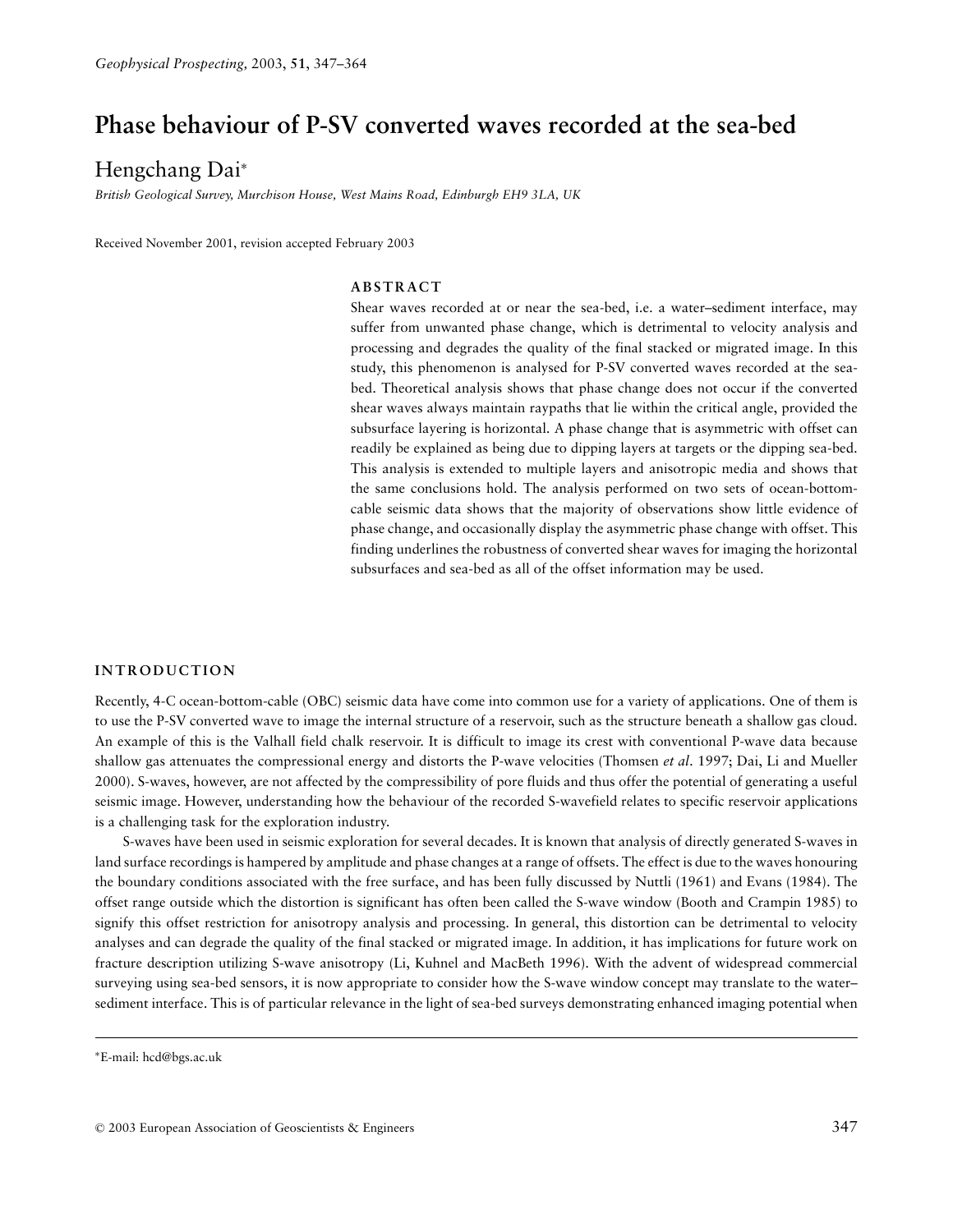# **Phase behaviour of P-SV converted waves recorded at the sea-bed**

## Hengchang Dai<sup>∗</sup>

*British Geological Survey, Murchison House, West Mains Road, Edinburgh EH9 3LA, UK*

Received November 2001, revision accepted February 2003

## **ABSTRACT**

Shear waves recorded at or near the sea-bed, i.e. a water–sediment interface, may suffer from unwanted phase change, which is detrimental to velocity analysis and processing and degrades the quality of the final stacked or migrated image. In this study, this phenomenon is analysed for P-SV converted waves recorded at the seabed. Theoretical analysis shows that phase change does not occur if the converted shear waves always maintain raypaths that lie within the critical angle, provided the subsurface layering is horizontal. A phase change that is asymmetric with offset can readily be explained as being due to dipping layers at targets or the dipping sea-bed. This analysis is extended to multiple layers and anisotropic media and shows that the same conclusions hold. The analysis performed on two sets of ocean-bottomcable seismic data shows that the majority of observations show little evidence of phase change, and occasionally display the asymmetric phase change with offset. This finding underlines the robustness of converted shear waves for imaging the horizontal subsurfaces and sea-bed as all of the offset information may be used.

#### **INTRODUCTION**

Recently, 4-C ocean-bottom-cable (OBC) seismic data have come into common use for a variety of applications. One of them is to use the P-SV converted wave to image the internal structure of a reservoir, such as the structure beneath a shallow gas cloud. An example of this is the Valhall field chalk reservoir. It is difficult to image its crest with conventional P-wave data because shallow gas attenuates the compressional energy and distorts the P-wave velocities (Thomsen *et al*. 1997; Dai, Li and Mueller 2000). S-waves, however, are not affected by the compressibility of pore fluids and thus offer the potential of generating a useful seismic image. However, understanding how the behaviour of the recorded S-wavefield relates to specific reservoir applications is a challenging task for the exploration industry.

S-waves have been used in seismic exploration for several decades. It is known that analysis of directly generated S-waves in land surface recordings is hampered by amplitude and phase changes at a range of offsets. The effect is due to the waves honouring the boundary conditions associated with the free surface, and has been fully discussed by Nuttli (1961) and Evans (1984). The offset range outside which the distortion is significant has often been called the S-wave window (Booth and Crampin 1985) to signify this offset restriction for anisotropy analysis and processing. In general, this distortion can be detrimental to velocity analyses and can degrade the quality of the final stacked or migrated image. In addition, it has implications for future work on fracture description utilizing S-wave anisotropy (Li, Kuhnel and MacBeth 1996). With the advent of widespread commercial surveying using sea-bed sensors, it is now appropriate to consider how the S-wave window concept may translate to the water– sediment interface. This is of particular relevance in the light of sea-bed surveys demonstrating enhanced imaging potential when

<sup>∗</sup>E-mail: hcd@bgs.ac.uk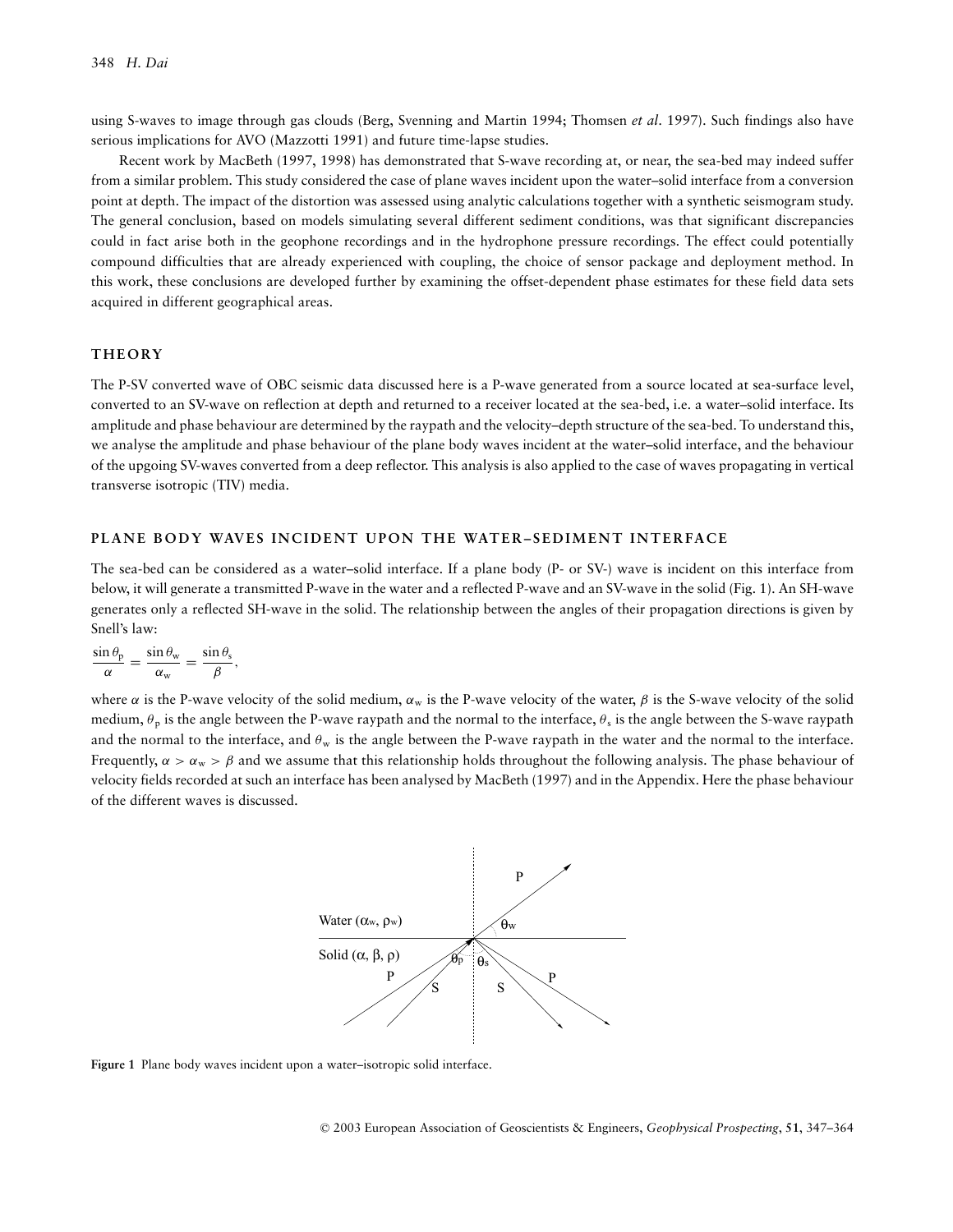using S-waves to image through gas clouds (Berg, Svenning and Martin 1994; Thomsen *et al*. 1997). Such findings also have serious implications for AVO (Mazzotti 1991) and future time-lapse studies.

Recent work by MacBeth (1997, 1998) has demonstrated that S-wave recording at, or near, the sea-bed may indeed suffer from a similar problem. This study considered the case of plane waves incident upon the water–solid interface from a conversion point at depth. The impact of the distortion was assessed using analytic calculations together with a synthetic seismogram study. The general conclusion, based on models simulating several different sediment conditions, was that significant discrepancies could in fact arise both in the geophone recordings and in the hydrophone pressure recordings. The effect could potentially compound difficulties that are already experienced with coupling, the choice of sensor package and deployment method. In this work, these conclusions are developed further by examining the offset-dependent phase estimates for these field data sets acquired in different geographical areas.

## **THEORY**

The P-SV converted wave of OBC seismic data discussed here is a P-wave generated from a source located at sea-surface level, converted to an SV-wave on reflection at depth and returned to a receiver located at the sea-bed, i.e. a water–solid interface. Its amplitude and phase behaviour are determined by the raypath and the velocity–depth structure of the sea-bed. To understand this, we analyse the amplitude and phase behaviour of the plane body waves incident at the water–solid interface, and the behaviour of the upgoing SV-waves converted from a deep reflector. This analysis is also applied to the case of waves propagating in vertical transverse isotropic (TIV) media.

#### **PLANE BODY WAVES INCIDENT UPON THE WATER-SEDIMENT INTERFACE**

The sea-bed can be considered as a water–solid interface. If a plane body (P- or SV-) wave is incident on this interface from below, it will generate a transmitted P-wave in the water and a reflected P-wave and an SV-wave in the solid (Fig. 1). An SH-wave generates only a reflected SH-wave in the solid. The relationship between the angles of their propagation directions is given by Snell's law:

$$
\frac{\sin \theta_p}{\alpha} = \frac{\sin \theta_w}{\alpha_w} = \frac{\sin \theta_s}{\beta},
$$

where  $\alpha$  is the P-wave velocity of the solid medium,  $\alpha_w$  is the P-wave velocity of the water,  $\beta$  is the S-wave velocity of the solid medium,  $\theta_p$  is the angle between the P-wave raypath and the normal to the interface,  $\theta_s$  is the angle between the S-wave raypath and the normal to the interface, and  $\theta_w$  is the angle between the P-wave raypath in the water and the normal to the interface. Frequently,  $\alpha > \alpha_w > \beta$  and we assume that this relationship holds throughout the following analysis. The phase behaviour of velocity fields recorded at such an interface has been analysed by MacBeth (1997) and in the Appendix. Here the phase behaviour of the different waves is discussed.



**Figure 1** Plane body waves incident upon a water–isotropic solid interface.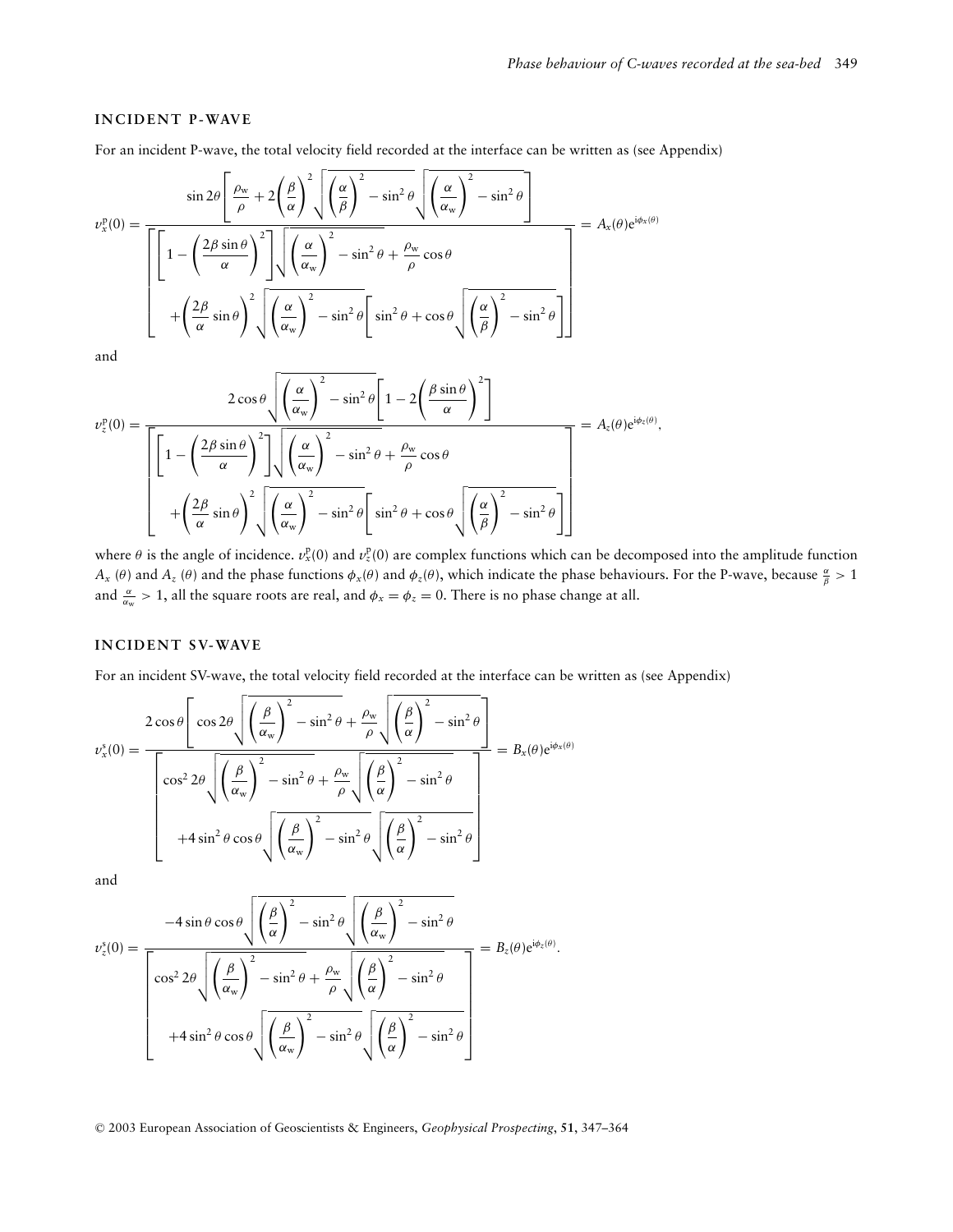## **INCIDENT P-WAVE**

For an incident P-wave, the total velocity field recorded at the interface can be written as (see Appendix)

$$
v_x^{\mathbf{p}}(0) = \frac{\sin 2\theta \left[ \frac{\rho_w}{\rho} + 2\left(\frac{\beta}{\alpha}\right)^2 \sqrt{\left(\frac{\alpha}{\beta}\right)^2 - \sin^2 \theta} \sqrt{\left(\frac{\alpha}{\alpha_w}\right)^2 - \sin^2 \theta} \right]}{\left[ 1 - \left(\frac{2\beta \sin \theta}{\alpha}\right)^2 \right] \sqrt{\left(\frac{\alpha}{\alpha_w}\right)^2 - \sin^2 \theta + \frac{\rho_w}{\rho} \cos \theta}} = A_x(\theta) e^{i\phi_x(\theta)}
$$

$$
+ \left(\frac{2\beta}{\alpha} \sin \theta\right)^2 \sqrt{\left(\frac{\alpha}{\alpha_w}\right)^2 - \sin^2 \theta} \left[ \sin^2 \theta + \cos \theta \sqrt{\left(\frac{\alpha}{\beta}\right)^2 - \sin^2 \theta} \right]
$$

and

$$
\nu_z^{\text{p}}(0) = \frac{2 \cos \theta \sqrt{\left(\frac{\alpha}{\alpha_w}\right)^2 - \sin^2 \theta} \left[1 - 2\left(\frac{\beta \sin \theta}{\alpha}\right)^2\right]}{\left[\left[1 - \left(\frac{2\beta \sin \theta}{\alpha}\right)^2\right] \sqrt{\left(\frac{\alpha}{\alpha_w}\right)^2 - \sin^2 \theta} + \frac{\rho_w}{\rho} \cos \theta}\right]} = A_z(\theta) e^{i\phi_z(\theta)},
$$

$$
+ \left(\frac{2\beta}{\alpha} \sin \theta\right)^2 \sqrt{\left(\frac{\alpha}{\alpha_w}\right)^2 - \sin^2 \theta} \left[\sin^2 \theta + \cos \theta \sqrt{\left(\frac{\alpha}{\beta}\right)^2 - \sin^2 \theta}\right]}
$$

where  $\theta$  is the angle of incidence.  $v_x^p(0)$  and  $v_z^p(0)$  are complex functions which can be decomposed into the amplitude function *A<sub>x</sub>* (*θ*) and *A<sub>z</sub>* (*θ*) and the phase functions  $\phi_x(\theta)$  and  $\phi_z(\theta)$ , which indicate the phase behaviours. For the P-wave, because  $\frac{\alpha}{\beta} > 1$ and  $\frac{\alpha}{\alpha_w} > 1$ , all the square roots are real, and  $\phi_x = \phi_z = 0$ . There is no phase change at all.

#### **INCIDENT SV-WAVE**

For an incident SV-wave, the total velocity field recorded at the interface can be written as (see Appendix)

$$
v_x^s(0) = \frac{2 \cos \theta \left[ \cos 2\theta \sqrt{\left(\frac{\beta}{\alpha_w}\right)^2 - \sin^2 \theta} + \frac{\rho_w}{\rho} \sqrt{\left(\frac{\beta}{\alpha}\right)^2 - \sin^2 \theta} \right]}{\left[ \cos^2 2\theta \sqrt{\left(\frac{\beta}{\alpha_w}\right)^2 - \sin^2 \theta} + \frac{\rho_w}{\rho} \sqrt{\left(\frac{\beta}{\alpha}\right)^2 - \sin^2 \theta}} \right]} = B_x(\theta) e^{i\phi_x(\theta)}
$$
  
+4 \sin<sup>2</sup>  $\theta$  cos  $\theta$   $\sqrt{\left(\frac{\beta}{\alpha_w}\right)^2 - \sin^2 \theta} \sqrt{\left(\frac{\beta}{\alpha}\right)^2 - \sin^2 \theta}$ 

and

$$
v_z^s(0) = \frac{-4 \sin \theta \cos \theta \sqrt{\left(\frac{\beta}{\alpha}\right)^2 - \sin^2 \theta} \sqrt{\left(\frac{\beta}{\alpha_w}\right)^2 - \sin^2 \theta}}{\left[\cos^2 2\theta \sqrt{\left(\frac{\beta}{\alpha_w}\right)^2 - \sin^2 \theta + \frac{\rho_w}{\rho} \sqrt{\left(\frac{\beta}{\alpha}\right)^2 - \sin^2 \theta}}}\right] = B_z(\theta) e^{i\phi_z(\theta)}.
$$
  
+4 sin<sup>2</sup>  $\theta \cos \theta \sqrt{\left(\frac{\beta}{\alpha_w}\right)^2 - \sin^2 \theta} \sqrt{\left(\frac{\beta}{\alpha}\right)^2 - \sin^2 \theta}$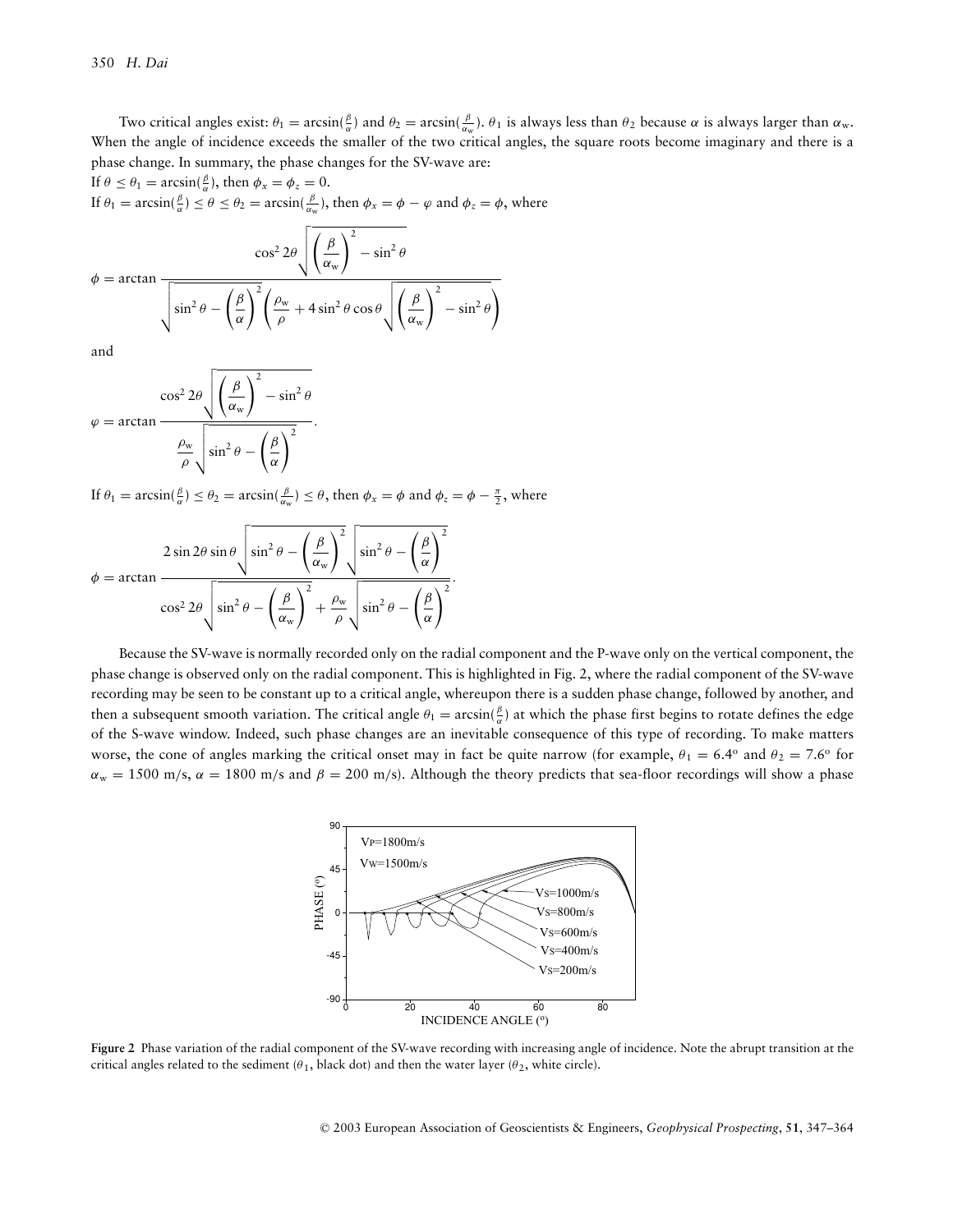Two critical angles exist:  $\theta_1 = \arcsin(\frac{\beta}{\alpha})$  and  $\theta_2 = \arcsin(\frac{\beta}{\alpha_w})$ .  $\theta_1$  is always less than  $\theta_2$  because  $\alpha$  is always larger than  $\alpha_w$ . When the angle of incidence exceeds the smaller of the two critical angles, the square roots become imaginary and there is a phase change. In summary, the phase changes for the SV-wave are:

If  $\theta \le \theta_1 = \arcsin(\frac{\beta}{\alpha})$ , then  $\phi_x = \phi_z = 0$ . If  $\theta_1 = \arcsin(\frac{\beta}{\alpha}) \le \theta \le \theta_2 = \arcsin(\frac{\beta}{\alpha_w})$ , then  $\phi_x = \phi - \varphi$  and  $\phi_z = \phi$ , where

$$
\phi = \arctan \frac{\cos^2 2\theta \sqrt{\left(\frac{\beta}{\alpha_w}\right)^2 - \sin^2 \theta}}{\sqrt{\sin^2 \theta - \left(\frac{\beta}{\alpha}\right)^2 \left(\frac{\rho_w}{\rho} + 4\sin^2 \theta \cos \theta \sqrt{\left(\frac{\beta}{\alpha_w}\right)^2 - \sin^2 \theta}\right)}}
$$

and

$$
\varphi = \arctan \frac{\cos^2 2\theta \sqrt{\left(\frac{\beta}{\alpha_w}\right)^2 - \sin^2 \theta}}{\frac{\rho_w}{\rho} \sqrt{\sin^2 \theta - \left(\frac{\beta}{\alpha}\right)^2}}.
$$

If  $\theta_1 = \arcsin(\frac{\beta}{\alpha}) \le \theta_2 = \arcsin(\frac{\beta}{\alpha_w}) \le \theta$ , then  $\phi_x = \phi$  and  $\phi_z = \phi - \frac{\pi}{2}$ , where

$$
\phi = \arctan \frac{2 \sin 2\theta \sin \theta \sqrt{\sin^2 \theta - \left(\frac{\beta}{\alpha_w}\right)^2} \sqrt{\sin^2 \theta - \left(\frac{\beta}{\alpha}\right)^2}}
$$

$$
\cos^2 2\theta \sqrt{\sin^2 \theta - \left(\frac{\beta}{\alpha_w}\right)^2 + \frac{\rho_w}{\rho}} \sqrt{\sin^2 \theta - \left(\frac{\beta}{\alpha}\right)^2}.
$$

Because the SV-wave is normally recorded only on the radial component and the P-wave only on the vertical component, the phase change is observed only on the radial component. This is highlighted in Fig. 2, where the radial component of the SV-wave recording may be seen to be constant up to a critical angle, whereupon there is a sudden phase change, followed by another, and then a subsequent smooth variation. The critical angle  $\theta_1 = \arcsin(\frac{\beta}{\alpha})$  at which the phase first begins to rotate defines the edge of the S-wave window. Indeed, such phase changes are an inevitable consequence of this type of recording. To make matters worse, the cone of angles marking the critical onset may in fact be quite narrow (for example,  $\theta_1 = 6.4^\circ$  and  $\theta_2 = 7.6^\circ$  for  $\alpha_w = 1500$  m/s,  $\alpha = 1800$  m/s and  $\beta = 200$  m/s). Although the theory predicts that sea-floor recordings will show a phase



**Figure 2** Phase variation of the radial component of the SV-wave recording with increasing angle of incidence. Note the abrupt transition at the critical angles related to the sediment ( $\theta_1$ , black dot) and then the water layer ( $\theta_2$ , white circle).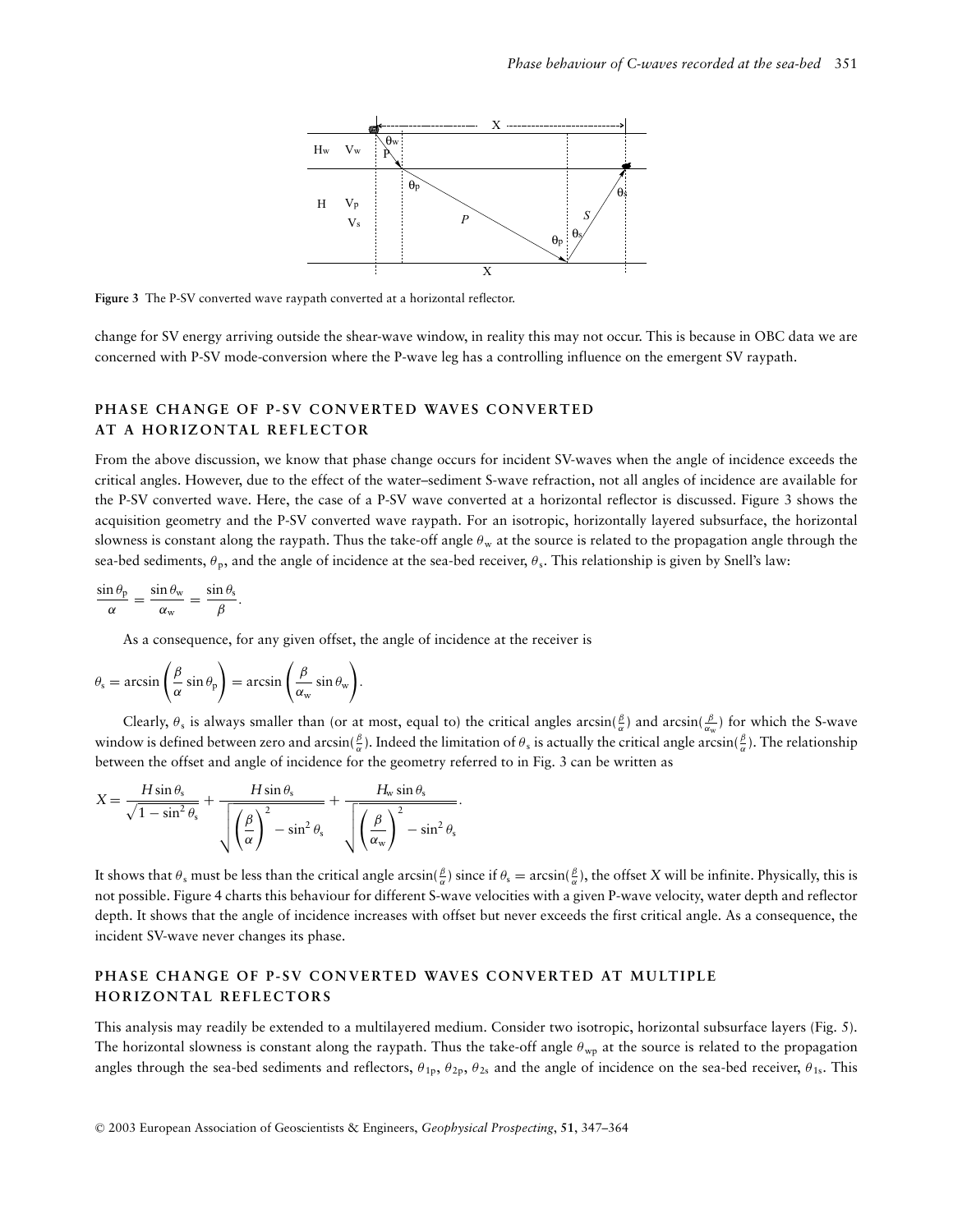

**Figure 3** The P-SV converted wave raypath converted at a horizontal reflector.

change for SV energy arriving outside the shear-wave window, in reality this may not occur. This is because in OBC data we are concerned with P-SV mode-conversion where the P-wave leg has a controlling influence on the emergent SV raypath.

## **PHASE CHANGE OF P-SV CONVERTED WAVES CONVERTED AT A HORIZONTAL REFLECTOR**

From the above discussion, we know that phase change occurs for incident SV-waves when the angle of incidence exceeds the critical angles. However, due to the effect of the water–sediment S-wave refraction, not all angles of incidence are available for the P-SV converted wave. Here, the case of a P-SV wave converted at a horizontal reflector is discussed. Figure 3 shows the acquisition geometry and the P-SV converted wave raypath. For an isotropic, horizontally layered subsurface, the horizontal slowness is constant along the raypath. Thus the take-off angle  $\theta_w$  at the source is related to the propagation angle through the sea-bed sediments,  $\theta_p$ , and the angle of incidence at the sea-bed receiver,  $\theta_s$ . This relationship is given by Snell's law:

$$
\frac{\sin \theta_p}{\alpha} = \frac{\sin \theta_w}{\alpha_w} = \frac{\sin \theta_s}{\beta}.
$$

As a consequence, for any given offset, the angle of incidence at the receiver is

$$
\theta_{\rm s} = \arcsin\left(\frac{\beta}{\alpha}\sin\theta_{\rm p}\right) = \arcsin\left(\frac{\beta}{\alpha_{\rm w}}\sin\theta_{\rm w}\right).
$$

Clearly,  $\theta_s$  is always smaller than (or at most, equal to) the critical angles  $arcsin(\frac{\beta}{\alpha})$  and  $arcsin(\frac{\beta}{\alpha_w})$  for which the S-wave window is defined between zero and arcsin( $\frac{\beta}{\alpha}$ ). Indeed the limitation of  $\theta_s$  is actually the critical angle arcsin( $\frac{\beta}{\alpha}$ ). The relationship between the offset and angle of incidence for the geometry referred to in Fig. 3 can be written as

$$
X = \frac{H \sin \theta_{s}}{\sqrt{1 - \sin^{2} \theta_{s}}} + \frac{H \sin \theta_{s}}{\sqrt{\left(\frac{\beta}{\alpha}\right)^{2} - \sin^{2} \theta_{s}}} + \frac{H_{w} \sin \theta_{s}}{\sqrt{\left(\frac{\beta}{\alpha_{w}}\right)^{2} - \sin^{2} \theta_{s}}}.
$$

It shows that  $\theta_s$  must be less than the critical angle arcsin( $\frac{\beta}{\alpha}$ ) since if  $\theta_s = \arcsin(\frac{\beta}{\alpha})$ , the offset *X* will be infinite. Physically, this is not possible. Figure 4 charts this behaviour for different S-wave velocities with a given P-wave velocity, water depth and reflector depth. It shows that the angle of incidence increases with offset but never exceeds the first critical angle. As a consequence, the incident SV-wave never changes its phase.

## PHASE CHANGE OF P-SV CONVERTED WAVES CONVERTED AT MULTIPLE **HORIZONTAL REFLECTORS**

This analysis may readily be extended to a multilayered medium. Consider two isotropic, horizontal subsurface layers (Fig. 5). The horizontal slowness is constant along the raypath. Thus the take-off angle  $\theta_{wp}$  at the source is related to the propagation angles through the sea-bed sediments and reflectors,  $\theta_{1p}$ ,  $\theta_{2p}$ ,  $\theta_{2s}$  and the angle of incidence on the sea-bed receiver,  $\theta_{1s}$ . This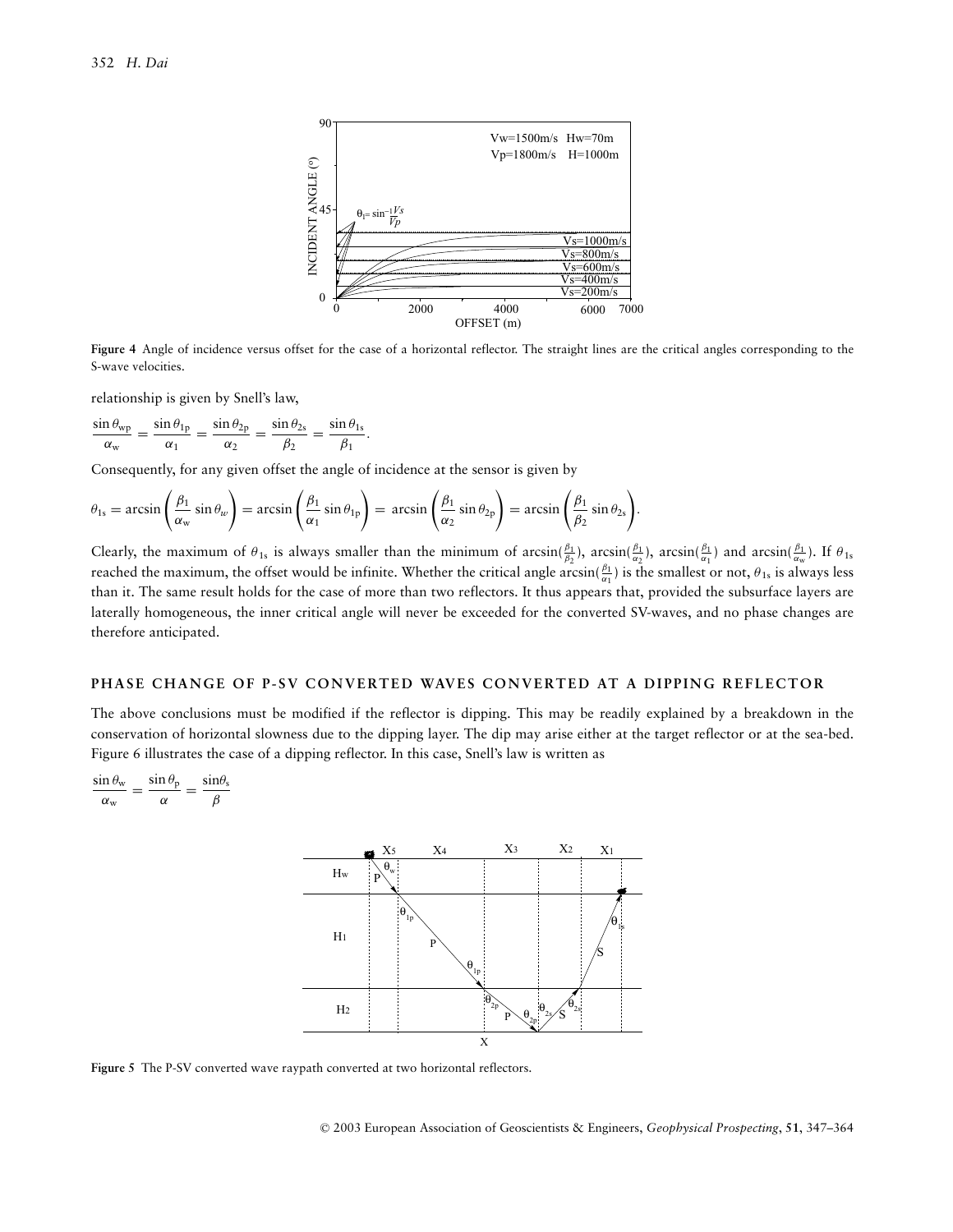

**Figure 4** Angle of incidence versus offset for the case of a horizontal reflector. The straight lines are the critical angles corresponding to the S-wave velocities.

relationship is given by Snell's law,

$$
\frac{\sin \theta_{\rm wp}}{\alpha_{\rm w}} = \frac{\sin \theta_{1\rm p}}{\alpha_1} = \frac{\sin \theta_{2\rm p}}{\alpha_2} = \frac{\sin \theta_{2\rm s}}{\beta_2} = \frac{\sin \theta_{1\rm s}}{\beta_1}.
$$

Consequently, for any given offset the angle of incidence at the sensor is given by

$$
\theta_{1s} = \arcsin\left(\frac{\beta_1}{\alpha_w}\sin\theta_w\right) = \arcsin\left(\frac{\beta_1}{\alpha_1}\sin\theta_{1p}\right) = \arcsin\left(\frac{\beta_1}{\alpha_2}\sin\theta_{2p}\right) = \arcsin\left(\frac{\beta_1}{\beta_2}\sin\theta_{2s}\right).
$$

Clearly, the maximum of  $\theta_{1s}$  is always smaller than the minimum of arcsin( $\frac{\beta_1}{\beta_2}$ ), arcsin( $\frac{\beta_1}{\alpha_2}$ ), arcsin( $\frac{\beta_1}{\alpha_1}$ ) and arcsin( $\frac{\beta_1}{\alpha_w}$ ). If  $\theta_{1s}$ reached the maximum, the offset would be infinite. Whether the critical angle  $\arcsin(\frac{\beta_1}{\alpha_1})$  is the smallest or not,  $\theta_{1s}$  is always less than it. The same result holds for the case of more than two reflectors. It thus appears that, provided the subsurface layers are laterally homogeneous, the inner critical angle will never be exceeded for the converted SV-waves, and no phase changes are therefore anticipated.

#### **PHASE CHANGE OF P-SV CONVERTED WAVES CONVERTED AT A DIPPING REFLECTOR**

The above conclusions must be modified if the reflector is dipping. This may be readily explained by a breakdown in the conservation of horizontal slowness due to the dipping layer. The dip may arise either at the target reflector or at the sea-bed. Figure 6 illustrates the case of a dipping reflector. In this case, Snell's law is written as

$$
\frac{\sin \theta_{\rm w}}{\alpha_{\rm w}} = \frac{\sin \theta_{\rm p}}{\alpha} = \frac{\sin \theta_{\rm s}}{\beta}
$$



**Figure 5** The P-SV converted wave raypath converted at two horizontal reflectors.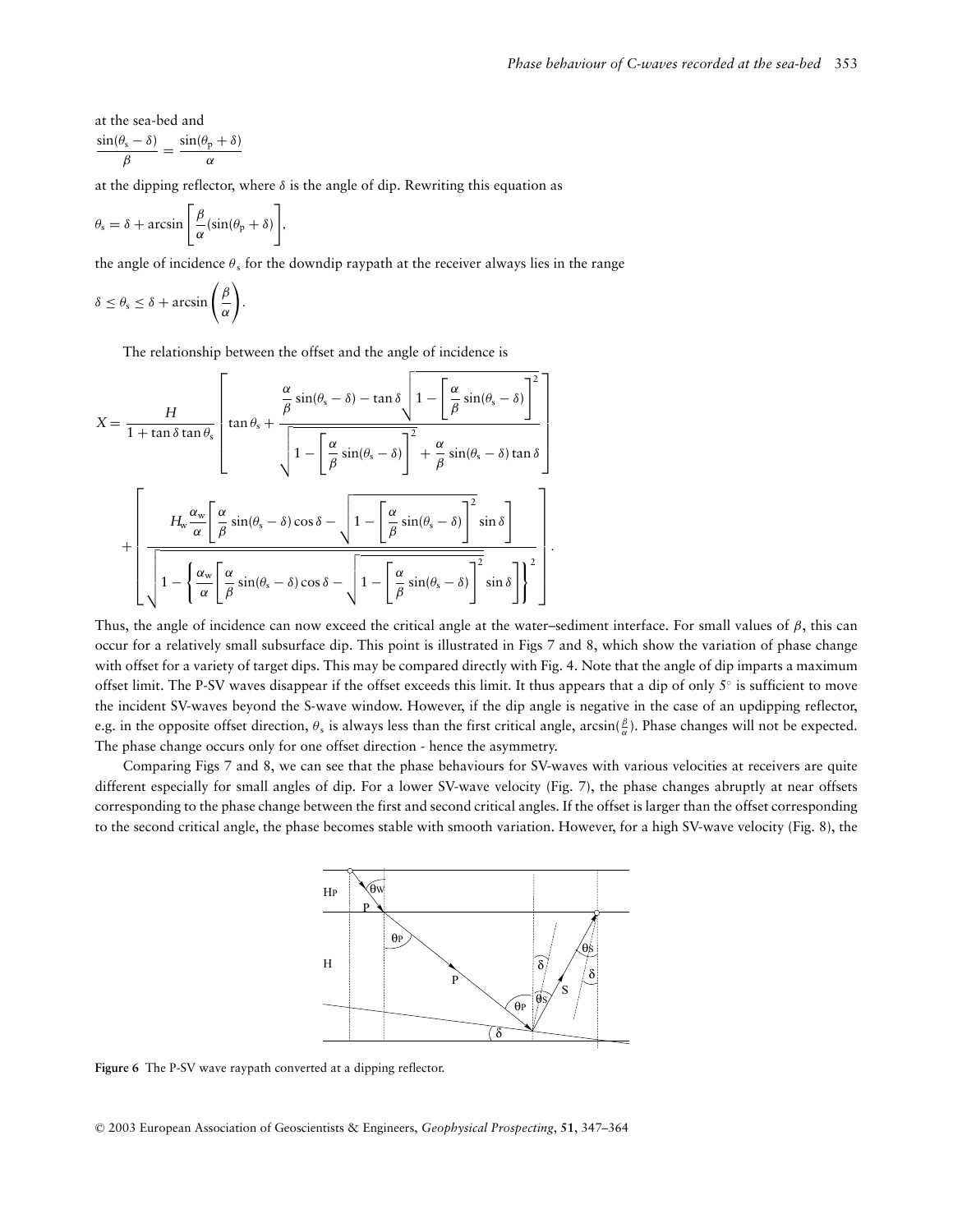at the sea-bed and  $\frac{\sin(\theta_{\rm s} - \delta)}{\beta} = \frac{\sin(\theta_{\rm p} + \delta)}{\alpha}$ 

at the dipping reflector, where  $\delta$  is the angle of dip. Rewriting this equation as

$$
\theta_{\rm s} = \delta + \arcsin\left[\frac{\beta}{\alpha}(\sin(\theta_{\rm p} + \delta))\right],
$$

the angle of incidence  $\theta_s$  for the downdip raypath at the receiver always lies in the range

$$
\delta \leq \theta_{s} \leq \delta + \arcsin\left(\frac{\beta}{\alpha}\right).
$$

The relationship between the offset and the angle of incidence is

$$
X = \frac{H}{1 + \tan \delta \tan \theta_{s}} \left[ \tan \theta_{s} + \frac{\frac{\alpha}{\beta} \sin(\theta_{s} - \delta) - \tan \delta \sqrt{1 - \left[\frac{\alpha}{\beta} \sin(\theta_{s} - \delta)\right]^{2}}}{\sqrt{1 - \left[\frac{\alpha}{\beta} \sin(\theta_{s} - \delta)\right]^{2}} + \frac{\alpha}{\beta} \sin(\theta_{s} - \delta) \tan \delta} \right]
$$

$$
+ \left[ \frac{H_{w} \frac{\alpha_{w}}{\alpha} \left[\frac{\alpha}{\beta} \sin(\theta_{s} - \delta) \cos \delta - \sqrt{1 - \left[\frac{\alpha}{\beta} \sin(\theta_{s} - \delta)\right]^{2}} \sin \delta\right]}{\sqrt{1 - \left\{\frac{\alpha_{w}}{\alpha} \left[\frac{\alpha}{\beta} \sin(\theta_{s} - \delta) \cos \delta - \sqrt{1 - \left[\frac{\alpha}{\beta} \sin(\theta_{s} - \delta)\right]^{2}} \sin \delta\right\}\right]^{2}} \right].
$$

Thus, the angle of incidence can now exceed the critical angle at the water–sediment interface. For small values of  $\beta$ , this can occur for a relatively small subsurface dip. This point is illustrated in Figs 7 and 8, which show the variation of phase change with offset for a variety of target dips. This may be compared directly with Fig. 4. Note that the angle of dip imparts a maximum offset limit. The P-SV waves disappear if the offset exceeds this limit. It thus appears that a dip of only  $5°$  is sufficient to move the incident SV-waves beyond the S-wave window. However, if the dip angle is negative in the case of an updipping reflector, e.g. in the opposite offset direction,  $\theta_s$  is always less than the first critical angle, arcsin( $\frac{\beta}{\alpha}$ ). Phase changes will not be expected. The phase change occurs only for one offset direction - hence the asymmetry.

Comparing Figs 7 and 8, we can see that the phase behaviours for SV-waves with various velocities at receivers are quite different especially for small angles of dip. For a lower SV-wave velocity (Fig. 7), the phase changes abruptly at near offsets corresponding to the phase change between the first and second critical angles. If the offset is larger than the offset corresponding to the second critical angle, the phase becomes stable with smooth variation. However, for a high SV-wave velocity (Fig. 8), the



**Figure 6** The P-SV wave raypath converted at a dipping reflector.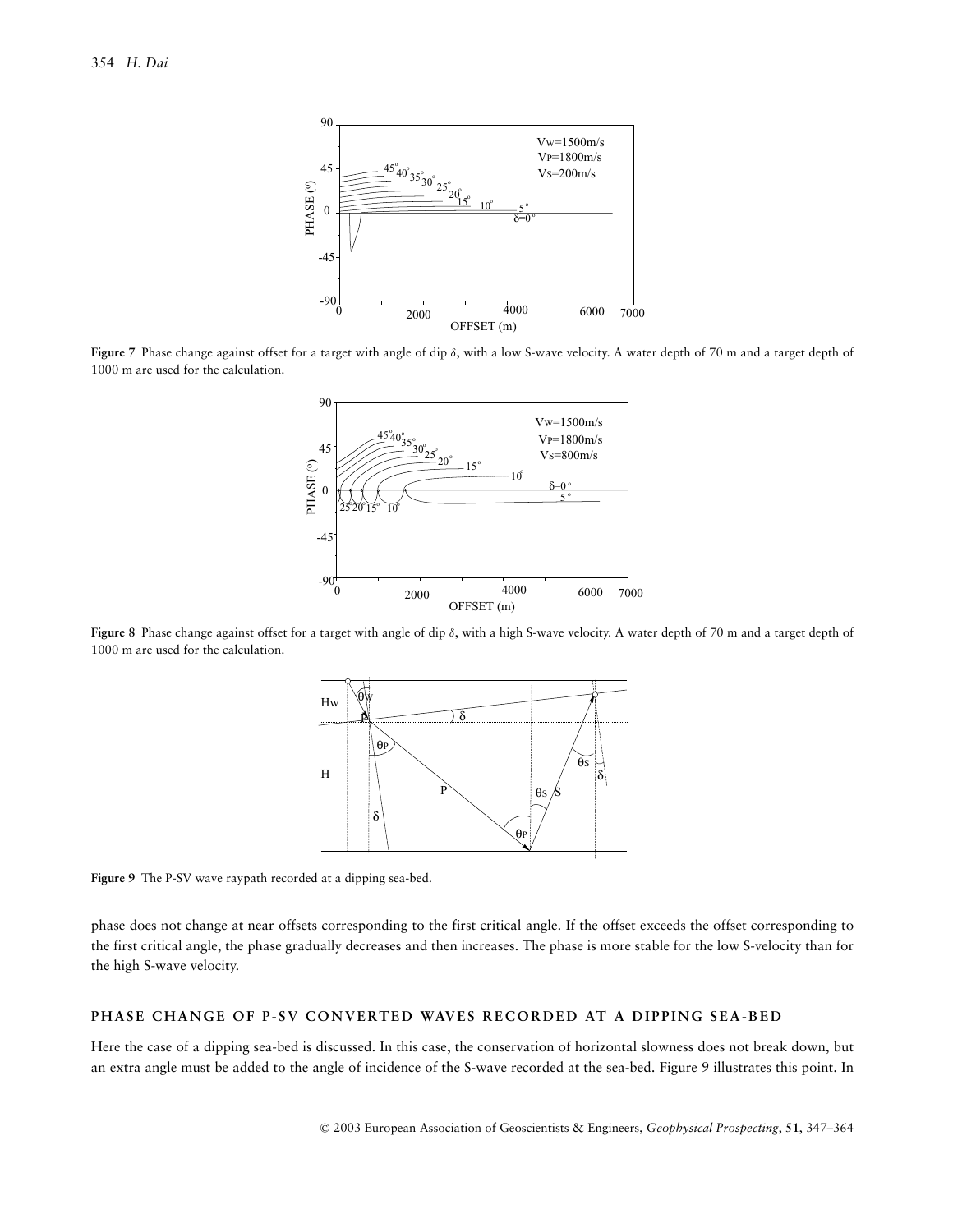

**Figure 7** Phase change against offset for a target with angle of dip δ, with a low S-wave velocity. A water depth of 70 m and a target depth of 1000 m are used for the calculation.



**Figure 8** Phase change against offset for a target with angle of dip δ, with a high S-wave velocity. A water depth of 70 m and a target depth of 1000 m are used for the calculation.



**Figure 9** The P-SV wave raypath recorded at a dipping sea-bed.

phase does not change at near offsets corresponding to the first critical angle. If the offset exceeds the offset corresponding to the first critical angle, the phase gradually decreases and then increases. The phase is more stable for the low S-velocity than for the high S-wave velocity.

## **PHASE CHANGE OF P-SV CONVERTED WAVES RECORDED AT A DIPPING SEA-BED**

Here the case of a dipping sea-bed is discussed. In this case, the conservation of horizontal slowness does not break down, but an extra angle must be added to the angle of incidence of the S-wave recorded at the sea-bed. Figure 9 illustrates this point. In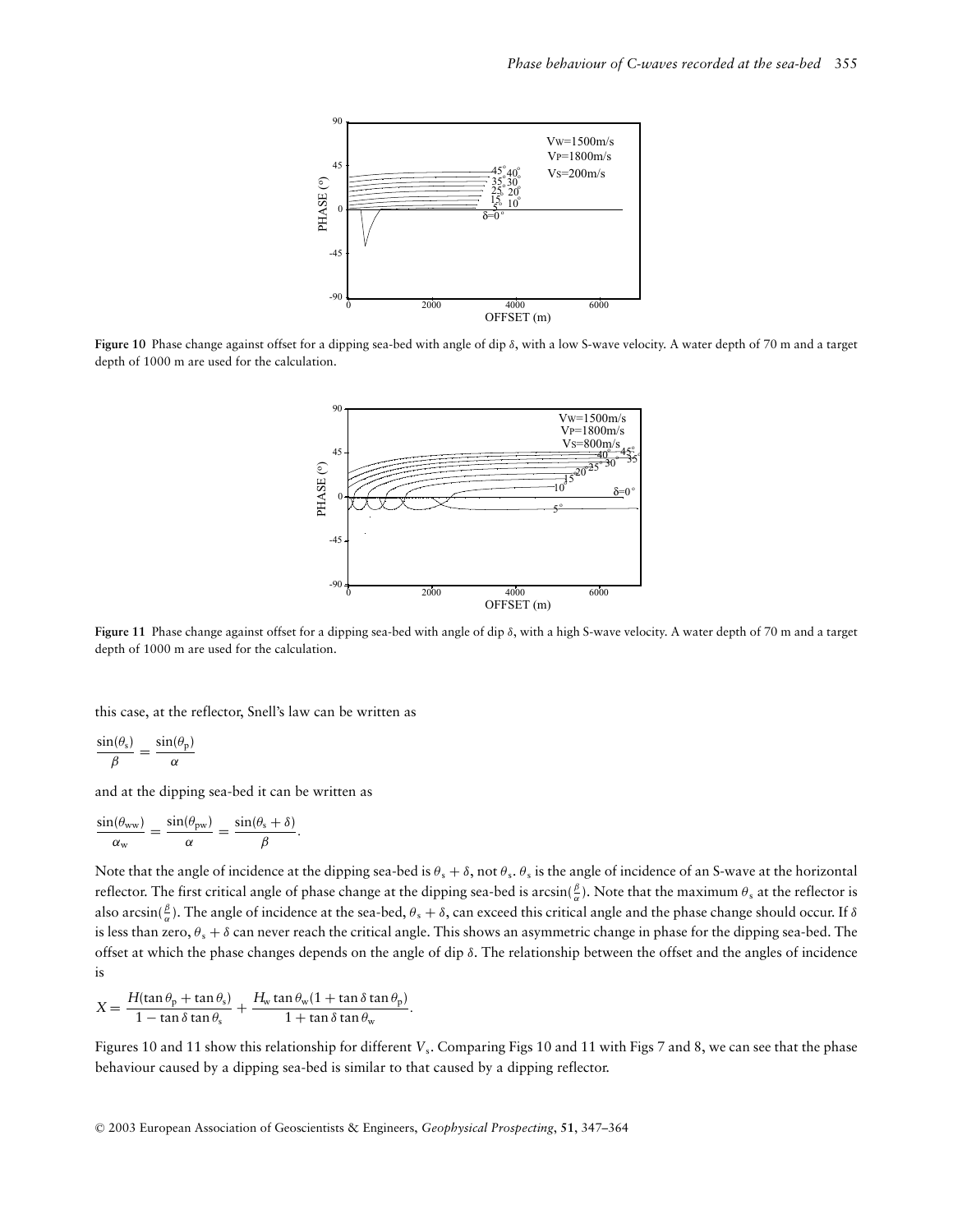

**Figure 10** Phase change against offset for a dipping sea-bed with angle of dip δ, with a low S-wave velocity. A water depth of 70 m and a target depth of 1000 m are used for the calculation.



**Figure 11** Phase change against offset for a dipping sea-bed with angle of dip δ, with a high S-wave velocity. A water depth of 70 m and a target depth of 1000 m are used for the calculation.

this case, at the reflector, Snell's law can be written as

$$
\frac{\sin(\theta_{\rm s})}{\beta} = \frac{\sin(\theta_{\rm p})}{\alpha}
$$

and at the dipping sea-bed it can be written as

$$
\frac{\sin(\theta_{ww})}{\alpha_w} = \frac{\sin(\theta_{pw})}{\alpha} = \frac{\sin(\theta_s + \delta)}{\beta}.
$$

Note that the angle of incidence at the dipping sea-bed is  $\theta_s + \delta$ , not  $\theta_s$ .  $\theta_s$  is the angle of incidence of an S-wave at the horizontal reflector. The first critical angle of phase change at the dipping sea-bed is arcsin( $\frac{\beta}{\alpha}$ ). Note that the maximum  $\theta_s$  at the reflector is also arcsin( $\frac{\beta}{\alpha}$ ). The angle of incidence at the sea-bed,  $\theta_s + \delta$ , can exceed this critical angle and the phase change should occur. If  $\delta$ is less than zero,  $\theta_s + \delta$  can never reach the critical angle. This shows an asymmetric change in phase for the dipping sea-bed. The offset at which the phase changes depends on the angle of dip  $\delta$ . The relationship between the offset and the angles of incidence is

$$
X = \frac{H(\tan \theta_{\rm p} + \tan \theta_{\rm s})}{1 - \tan \delta \tan \theta_{\rm s}} + \frac{H_{\rm w} \tan \theta_{\rm w} (1 + \tan \delta \tan \theta_{\rm p})}{1 + \tan \delta \tan \theta_{\rm w}}.
$$

Figures 10 and 11 show this relationship for different *V<sub>s</sub>*. Comparing Figs 10 and 11 with Figs 7 and 8, we can see that the phase behaviour caused by a dipping sea-bed is similar to that caused by a dipping reflector.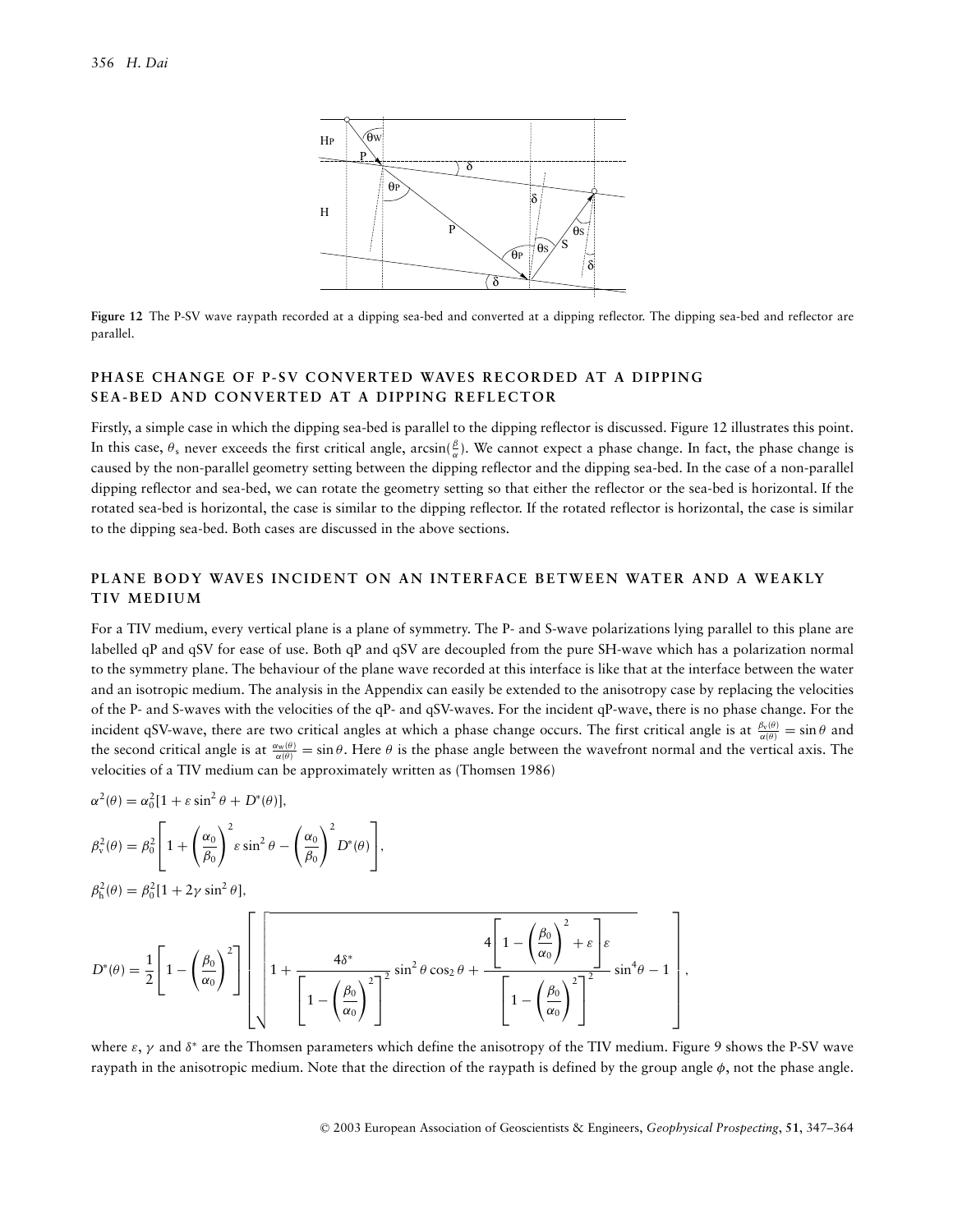

**Figure 12** The P-SV wave raypath recorded at a dipping sea-bed and converted at a dipping reflector. The dipping sea-bed and reflector are parallel.

## **PHASE CHANGE OF P-SV CONVERTED WAVES RECORDED AT A DIPPING SEA-BED AND CONVERTED AT A DIPPING REFLECTOR**

Firstly, a simple case in which the dipping sea-bed is parallel to the dipping reflector is discussed. Figure 12 illustrates this point. In this case,  $\theta_s$  never exceeds the first critical angle,  $arcsin(\frac{\beta}{\alpha})$ . We cannot expect a phase change. In fact, the phase change is caused by the non-parallel geometry setting between the dipping reflector and the dipping sea-bed. In the case of a non-parallel dipping reflector and sea-bed, we can rotate the geometry setting so that either the reflector or the sea-bed is horizontal. If the rotated sea-bed is horizontal, the case is similar to the dipping reflector. If the rotated reflector is horizontal, the case is similar to the dipping sea-bed. Both cases are discussed in the above sections.

## **PLANE BODY WAVES INCIDENT ON AN INTERFACE BETWEEN WATER AND A WEAKLY TIV MEDIUM**

For a TIV medium, every vertical plane is a plane of symmetry. The P- and S-wave polarizations lying parallel to this plane are labelled qP and qSV for ease of use. Both qP and qSV are decoupled from the pure SH-wave which has a polarization normal to the symmetry plane. The behaviour of the plane wave recorded at this interface is like that at the interface between the water and an isotropic medium. The analysis in the Appendix can easily be extended to the anisotropy case by replacing the velocities of the P- and S-waves with the velocities of the qP*-* and qSV-waves. For the incident qP-wave, there is no phase change. For the incident qSV-wave, there are two critical angles at which a phase change occurs. The first critical angle is at  $\frac{\beta_v(\theta)}{\alpha(\theta)} = \sin \theta$  and the second critical angle is at  $\frac{\alpha_w(\theta)}{\alpha(\theta)} = \sin \theta$ . Here  $\theta$  is the phase angle between the wavefront normal and the vertical axis. The velocities of a TIV medium can be approximately written as (Thomsen 1986)

$$
\alpha^2(\theta) = \alpha_0^2 [1 + \varepsilon \sin^2 \theta + D^*(\theta)],
$$

$$
\beta_{\rm v}^2(\theta) = \beta_0^2 \left[ 1 + \left( \frac{\alpha_0}{\beta_0} \right)^2 \varepsilon \sin^2 \theta - \left( \frac{\alpha_0}{\beta_0} \right)^2 D^*(\theta) \right],
$$

$$
\beta_{\rm h}^2(\theta) = \beta_0^2 [1 + 2\gamma \sin^2 \theta],
$$

$$
D^*(\theta) = \frac{1}{2} \left[ 1 - \left(\frac{\beta_0}{\alpha_0}\right)^2 \right] \left[ 1 + \frac{4\delta^*}{\left[ 1 - \left(\frac{\beta_0}{\alpha_0}\right)^2 \right]^2} \sin^2 \theta \cos_2 \theta + \frac{4 \left[ 1 - \left(\frac{\beta_0}{\alpha_0}\right)^2 + \varepsilon \right] \varepsilon}{\left[ 1 - \left(\frac{\beta_0}{\alpha_0}\right)^2 \right]^2} \sin^4 \theta - 1 \right],
$$

where  $\varepsilon$ ,  $\gamma$  and  $\delta^*$  are the Thomsen parameters which define the anisotropy of the TIV medium. Figure 9 shows the P-SV wave raypath in the anisotropic medium. Note that the direction of the raypath is defined by the group angle  $\phi$ , not the phase angle.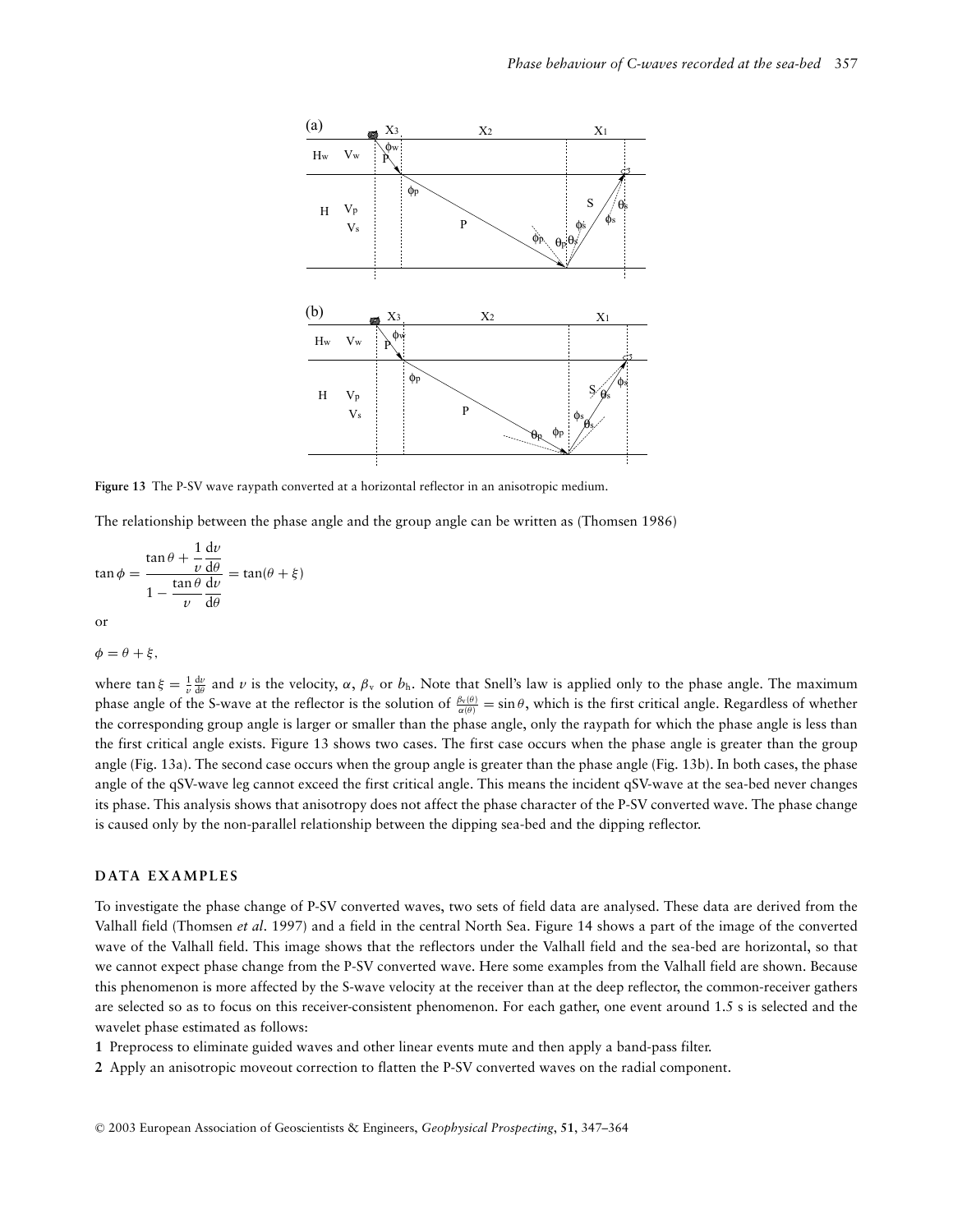

**Figure 13** The P-SV wave raypath converted at a horizontal reflector in an anisotropic medium.

The relationship between the phase angle and the group angle can be written as (Thomsen 1986)

$$
\tan \phi = \frac{\tan \theta + \frac{1}{\nu} \frac{dv}{d\theta}}{1 - \frac{\tan \theta}{\nu} \frac{dv}{d\theta}} = \tan(\theta + \xi)
$$
  
or

 $\phi = \theta + \xi,$ 

where  $\tan \xi = \frac{1}{\nu} \frac{dv}{d\theta}$  and  $\nu$  is the velocity,  $\alpha$ ,  $\beta_v$  or  $b_h$ . Note that Snell's law is applied only to the phase angle. The maximum phase angle of the S-wave at the reflector is the solution of  $\frac{\beta_v(\theta)}{\alpha(\theta)} = \sin \theta$ , which is the first critical angle. Regardless of whether the corresponding group angle is larger or smaller than the phase angle, only the raypath for which the phase angle is less than the first critical angle exists. Figure 13 shows two cases. The first case occurs when the phase angle is greater than the group angle (Fig. 13a). The second case occurs when the group angle is greater than the phase angle (Fig. 13b). In both cases, the phase angle of the qSV-wave leg cannot exceed the first critical angle. This means the incident qSV-wave at the sea-bed never changes its phase. This analysis shows that anisotropy does not affect the phase character of the P-SV converted wave. The phase change is caused only by the non-parallel relationship between the dipping sea-bed and the dipping reflector.

#### **DATA EXAMPLES**

To investigate the phase change of P-SV converted waves, two sets of field data are analysed. These data are derived from the Valhall field (Thomsen *et al*. 1997) and a field in the central North Sea. Figure 14 shows a part of the image of the converted wave of the Valhall field. This image shows that the reflectors under the Valhall field and the sea-bed are horizontal, so that we cannot expect phase change from the P-SV converted wave. Here some examples from the Valhall field are shown. Because this phenomenon is more affected by the S-wave velocity at the receiver than at the deep reflector, the common-receiver gathers are selected so as to focus on this receiver-consistent phenomenon. For each gather, one event around 1.5 s is selected and the wavelet phase estimated as follows:

- **1** Preprocess to eliminate guided waves and other linear events mute and then apply a band-pass filter.
- **2** Apply an anisotropic moveout correction to flatten the P-SV converted waves on the radial component.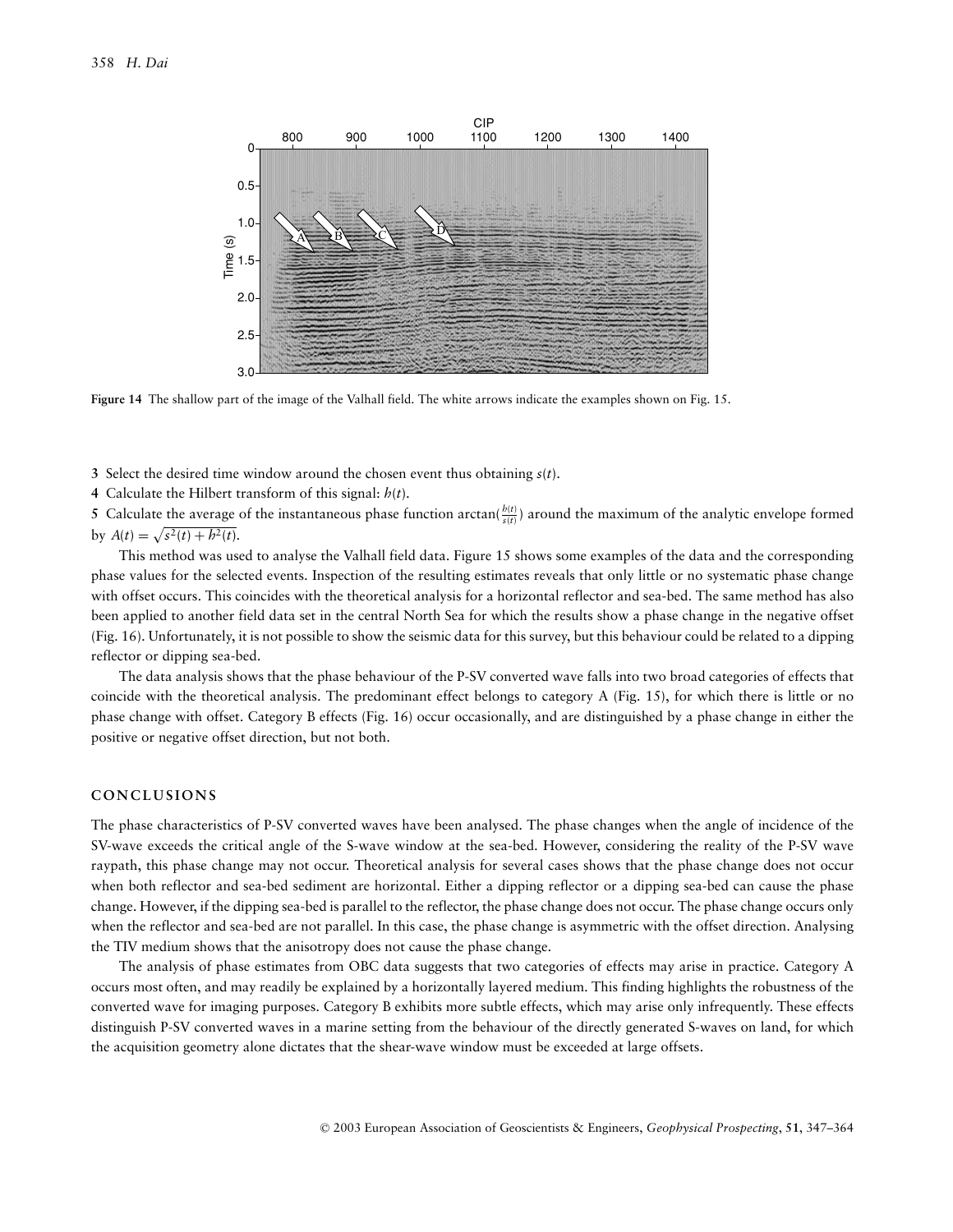

**Figure 14** The shallow part of the image of the Valhall field. The white arrows indicate the examples shown on Fig. 15.

**3** Select the desired time window around the chosen event thus obtaining *s*(*t*).

**4** Calculate the Hilbert transform of this signal: *h*(*t*).

5 Calculate the average of the instantaneous phase function arctan( $\frac{h(t)}{s(t)}$ ) around the maximum of the analytic envelope formed by  $A(t) = \sqrt{s^2(t) + h^2(t)}$ .

This method was used to analyse the Valhall field data. Figure 15 shows some examples of the data and the corresponding phase values for the selected events. Inspection of the resulting estimates reveals that only little or no systematic phase change with offset occurs. This coincides with the theoretical analysis for a horizontal reflector and sea-bed. The same method has also been applied to another field data set in the central North Sea for which the results show a phase change in the negative offset (Fig. 16). Unfortunately, it is not possible to show the seismic data for this survey, but this behaviour could be related to a dipping reflector or dipping sea-bed.

The data analysis shows that the phase behaviour of the P-SV converted wave falls into two broad categories of effects that coincide with the theoretical analysis. The predominant effect belongs to category A (Fig. 15), for which there is little or no phase change with offset. Category B effects (Fig. 16) occur occasionally, and are distinguished by a phase change in either the positive or negative offset direction, but not both.

## **CONCLUSIONS**

The phase characteristics of P-SV converted waves have been analysed. The phase changes when the angle of incidence of the SV-wave exceeds the critical angle of the S-wave window at the sea-bed. However, considering the reality of the P-SV wave raypath, this phase change may not occur. Theoretical analysis for several cases shows that the phase change does not occur when both reflector and sea-bed sediment are horizontal. Either a dipping reflector or a dipping sea-bed can cause the phase change. However, if the dipping sea-bed is parallel to the reflector, the phase change does not occur. The phase change occurs only when the reflector and sea-bed are not parallel. In this case, the phase change is asymmetric with the offset direction. Analysing the TIV medium shows that the anisotropy does not cause the phase change.

The analysis of phase estimates from OBC data suggests that two categories of effects may arise in practice. Category A occurs most often, and may readily be explained by a horizontally layered medium. This finding highlights the robustness of the converted wave for imaging purposes. Category B exhibits more subtle effects, which may arise only infrequently. These effects distinguish P-SV converted waves in a marine setting from the behaviour of the directly generated S-waves on land, for which the acquisition geometry alone dictates that the shear-wave window must be exceeded at large offsets.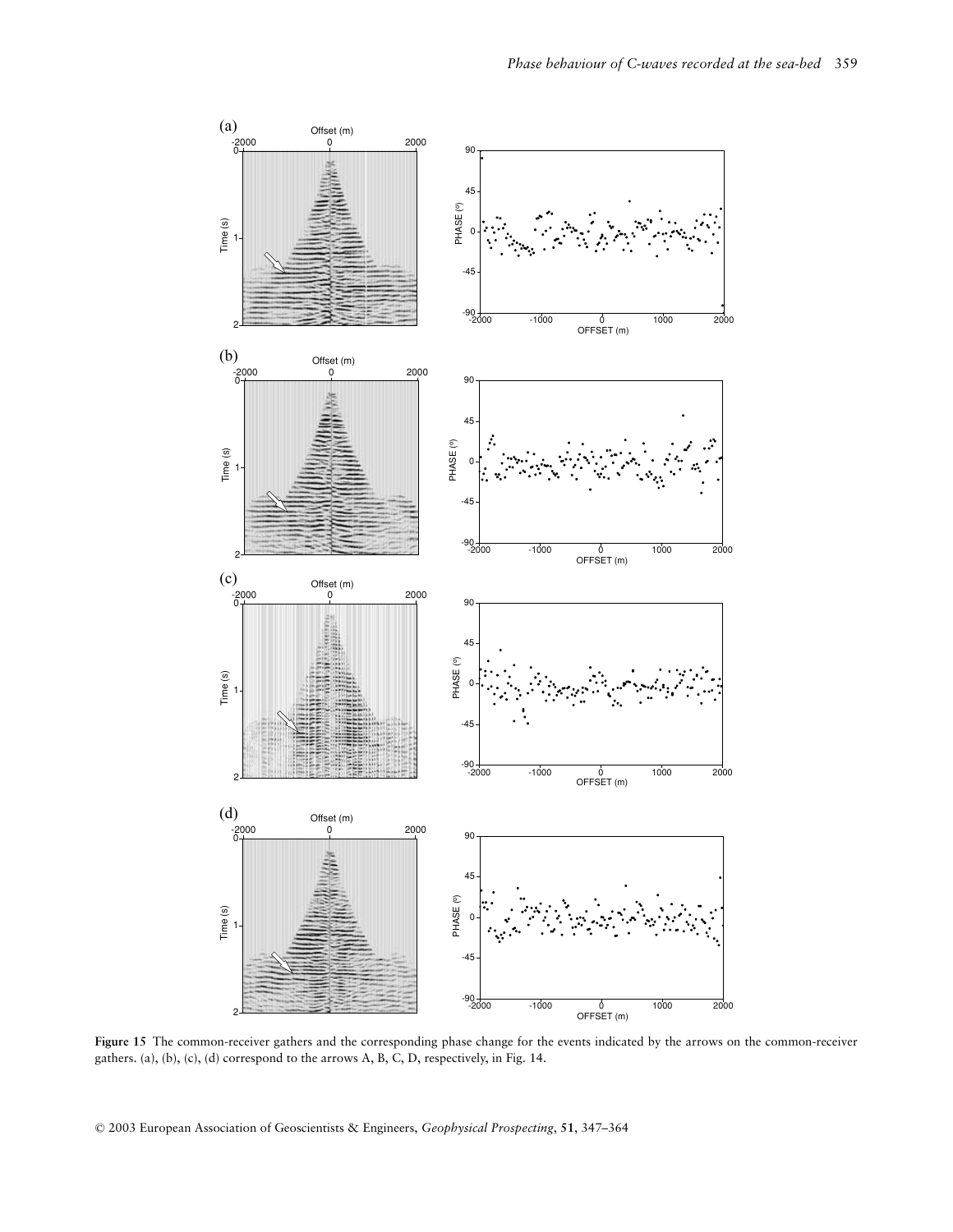

**Figure 15** The common-receiver gathers and the corresponding phase change for the events indicated by the arrows on the common-receiver gathers. (a), (b), (c), (d) correspond to the arrows A, B, C, D, respectively, in Fig. 14.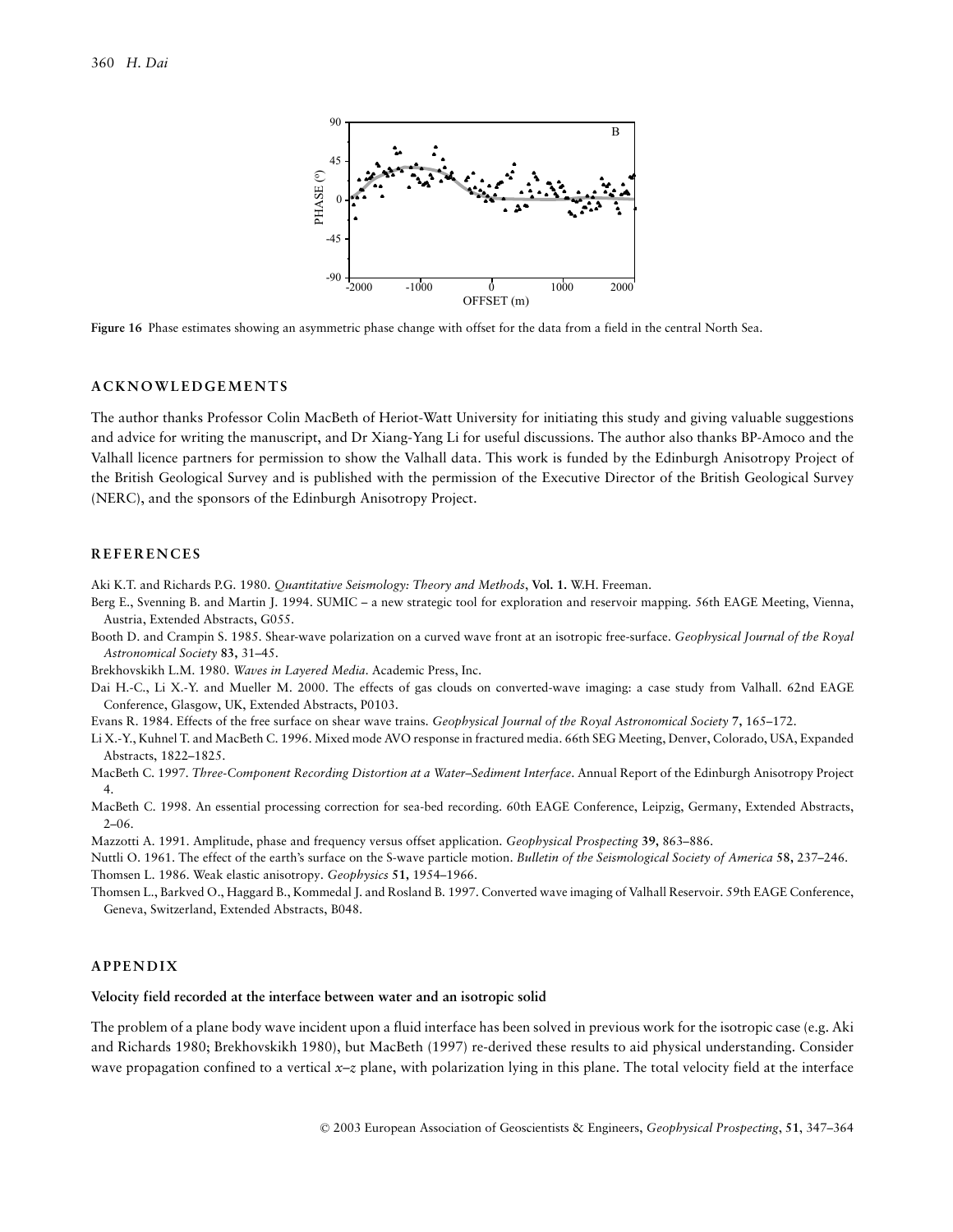

**Figure 16** Phase estimates showing an asymmetric phase change with offset for the data from a field in the central North Sea.

#### **ACKNOWLEDGEMENTS**

The author thanks Professor Colin MacBeth of Heriot-Watt University for initiating this study and giving valuable suggestions and advice for writing the manuscript, and Dr Xiang-Yang Li for useful discussions. The author also thanks BP-Amoco and the Valhall licence partners for permission to show the Valhall data. This work is funded by the Edinburgh Anisotropy Project of the British Geological Survey and is published with the permission of the Executive Director of the British Geological Survey (NERC), and the sponsors of the Edinburgh Anisotropy Project.

#### **REFERENCES**

Aki K.T. and Richards P.G. 1980. *Quantitative Seismology: Theory and Methods*, **Vol. 1.** W.H. Freeman.

Berg E., Svenning B. and Martin J. 1994. SUMIC – a new strategic tool for exploration and reservoir mapping. 56th EAGE Meeting, Vienna, Austria, Extended Abstracts, G055.

Booth D. and Crampin S. 1985. Shear-wave polarization on a curved wave front at an isotropic free-surface. *Geophysical Journal of the Royal Astronomical Society* **83,** 31–45.

Brekhovskikh L.M. 1980. *Waves in Layered Media*. Academic Press, Inc.

Dai H.-C., Li X.-Y. and Mueller M. 2000. The effects of gas clouds on converted-wave imaging: a case study from Valhall. 62nd EAGE Conference, Glasgow, UK, Extended Abstracts, P0103.

Evans R. 1984. Effects of the free surface on shear wave trains. *Geophysical Journal of the Royal Astronomical Society* **7,** 165–172.

Li X.-Y., Kuhnel T. and MacBeth C. 1996. Mixed mode AVO response in fractured media. 66th SEG Meeting, Denver, Colorado, USA, Expanded Abstracts, 1822–1825.

MacBeth C. 1997. *Three-Component Recording Distortion at a Water–Sediment Interface*. Annual Report of the Edinburgh Anisotropy Project 4.

MacBeth C. 1998. An essential processing correction for sea-bed recording. 60th EAGE Conference, Leipzig, Germany, Extended Abstracts,  $2 - 06$ .

Mazzotti A. 1991. Amplitude, phase and frequency versus offset application. *Geophysical Prospecting* **39,** 863–886.

Nuttli O. 1961. The effect of the earth's surface on the S-wave particle motion. *Bulletin of the Seismological Society of America* **58,** 237–246. Thomsen L. 1986. Weak elastic anisotropy. *Geophysics* **51,** 1954–1966.

Thomsen L., Barkved O., Haggard B., Kommedal J. and Rosland B. 1997. Converted wave imaging of Valhall Reservoir. 59th EAGE Conference, Geneva, Switzerland, Extended Abstracts, B048.

## **APPENDIX**

#### **Velocity field recorded at the interface between water and an isotropic solid**

The problem of a plane body wave incident upon a fluid interface has been solved in previous work for the isotropic case (e.g. Aki and Richards 1980; Brekhovskikh 1980), but MacBeth (1997) re-derived these results to aid physical understanding. Consider wave propagation confined to a vertical *x–z* plane, with polarization lying in this plane. The total velocity field at the interface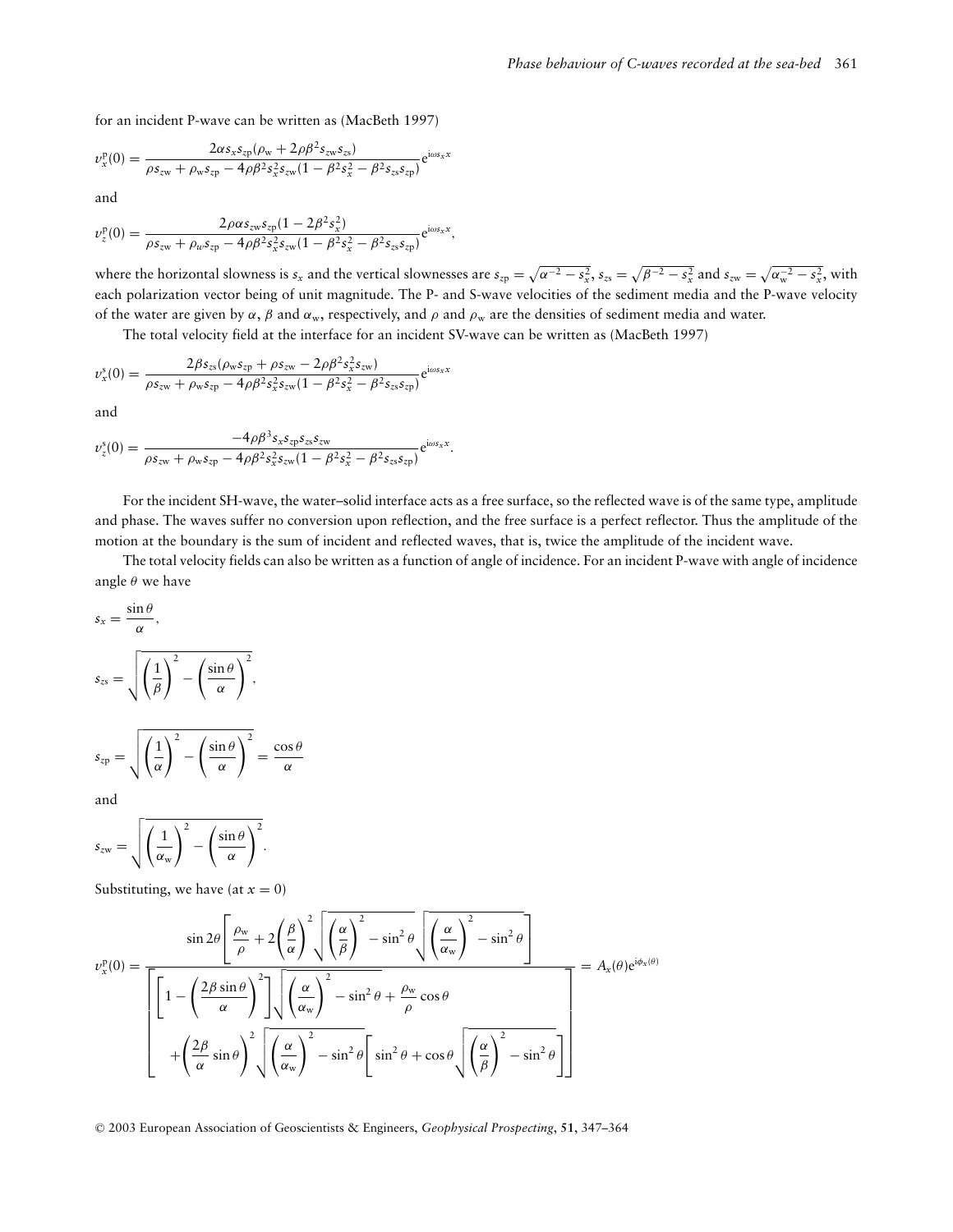for an incident P-wave can be written as (MacBeth 1997)

$$
v_x^{\rm p}(0) = \frac{2\alpha s_x s_{\rm zp} (\rho_{\rm w} + 2\rho \beta^2 s_{\rm zw} s_{\rm zs})}{\rho s_{\rm zw} + \rho_{\rm w} s_{\rm zp} - 4\rho \beta^2 s_x^2 s_{\rm zw} (1 - \beta^2 s_x^2 - \beta^2 s_{\rm zs} s_{\rm zp})} e^{\rm i\omega s_x x}
$$

and

$$
\nu_{z}^{\mathrm{p}}(0)=\frac{2\rho\alpha s_{zw}s_{zp}(1-2\beta^{2}s_{x}^{2})}{\rho s_{zw}+\rho_{w}s_{zp}-4\rho\beta^{2}s_{x}^{2}s_{zw}(1-\beta^{2}s_{x}^{2}-\beta^{2}s_{zs}s_{zp})}e^{i\omega s_{x}x},
$$

where the horizontal slowness is  $s_x$  and the vertical slownesses are  $s_{zp} = \sqrt{\alpha^{-2} - s_x^2}$ ,  $s_{zs} = \sqrt{\beta^{-2} - s_x^2}$  and  $s_{zw} = \sqrt{\alpha_w^{-2} - s_x^2}$ , with each polarization vector being of unit magnitude. The P- and S-wave velocities of the sediment media and the P-wave velocity of the water are given by  $\alpha$ ,  $\beta$  and  $\alpha_w$ , respectively, and  $\rho$  and  $\rho_w$  are the densities of sediment media and water.

The total velocity field at the interface for an incident SV-wave can be written as (MacBeth 1997)

$$
v_x^s(0) = \frac{2\beta s_{zs}(\rho_w s_{zp} + \rho s_{zw} - 2\rho \beta^2 s_x^2 s_{zw})}{\rho s_{zw} + \rho_w s_{zp} - 4\rho \beta^2 s_x^2 s_{zw} (1 - \beta^2 s_x^2 - \beta^2 s_{zs} s_{zp})} e^{i\omega s_x x}
$$

and

$$
v_z^s(0) = \frac{-4\rho\beta^3 s_x s_{zp} s_{zs} s_{zw}}{\rho s_{zw} + \rho_w s_{zp} - 4\rho\beta^2 s_x^2 s_{zw} (1 - \beta^2 s_x^2 - \beta^2 s_{zs} s_{zp})} e^{i\omega s_x x}.
$$

For the incident SH-wave, the water–solid interface acts as a free surface, so the reflected wave is of the same type, amplitude and phase. The waves suffer no conversion upon reflection, and the free surface is a perfect reflector. Thus the amplitude of the motion at the boundary is the sum of incident and reflected waves, that is, twice the amplitude of the incident wave.

The total velocity fields can also be written as a function of angle of incidence. For an incident P-wave with angle of incidence angle  $\theta$  we have

$$
s_x = \frac{\sin \theta}{\alpha},
$$
  
\n
$$
s_{zs} = \sqrt{\left(\frac{1}{\beta}\right)^2 - \left(\frac{\sin \theta}{\alpha}\right)^2},
$$
  
\n
$$
s_{zp} = \sqrt{\left(\frac{1}{\alpha}\right)^2 - \left(\frac{\sin \theta}{\alpha}\right)^2} = \frac{\cos \theta}{\alpha}
$$

and

$$
s_{zw} = \sqrt{\left(\frac{1}{\alpha_w}\right)^2 - \left(\frac{\sin \theta}{\alpha}\right)^2}.
$$

Substituting, we have (at  $x = 0$ )

$$
v_x^{\mathbf{p}}(0) = \frac{\sin 2\theta \left[ \frac{\rho_w}{\rho} + 2\left(\frac{\beta}{\alpha}\right)^2 \sqrt{\left(\frac{\alpha}{\beta}\right)^2 - \sin^2 \theta} \sqrt{\left(\frac{\alpha}{\alpha_w}\right)^2 - \sin^2 \theta} \right]}{\left[ 1 - \left(\frac{2\beta \sin \theta}{\alpha}\right)^2 \right] \sqrt{\left(\frac{\alpha}{\alpha_w}\right)^2 - \sin^2 \theta + \frac{\rho_w}{\rho} \cos \theta}} = A_x(\theta) e^{i\phi_x(\theta)}
$$

$$
+ \left(\frac{2\beta}{\alpha} \sin \theta\right)^2 \sqrt{\left(\frac{\alpha}{\alpha_w}\right)^2 - \sin^2 \theta} \left[ \sin^2 \theta + \cos \theta \sqrt{\left(\frac{\alpha}{\beta}\right)^2 - \sin^2 \theta} \right]
$$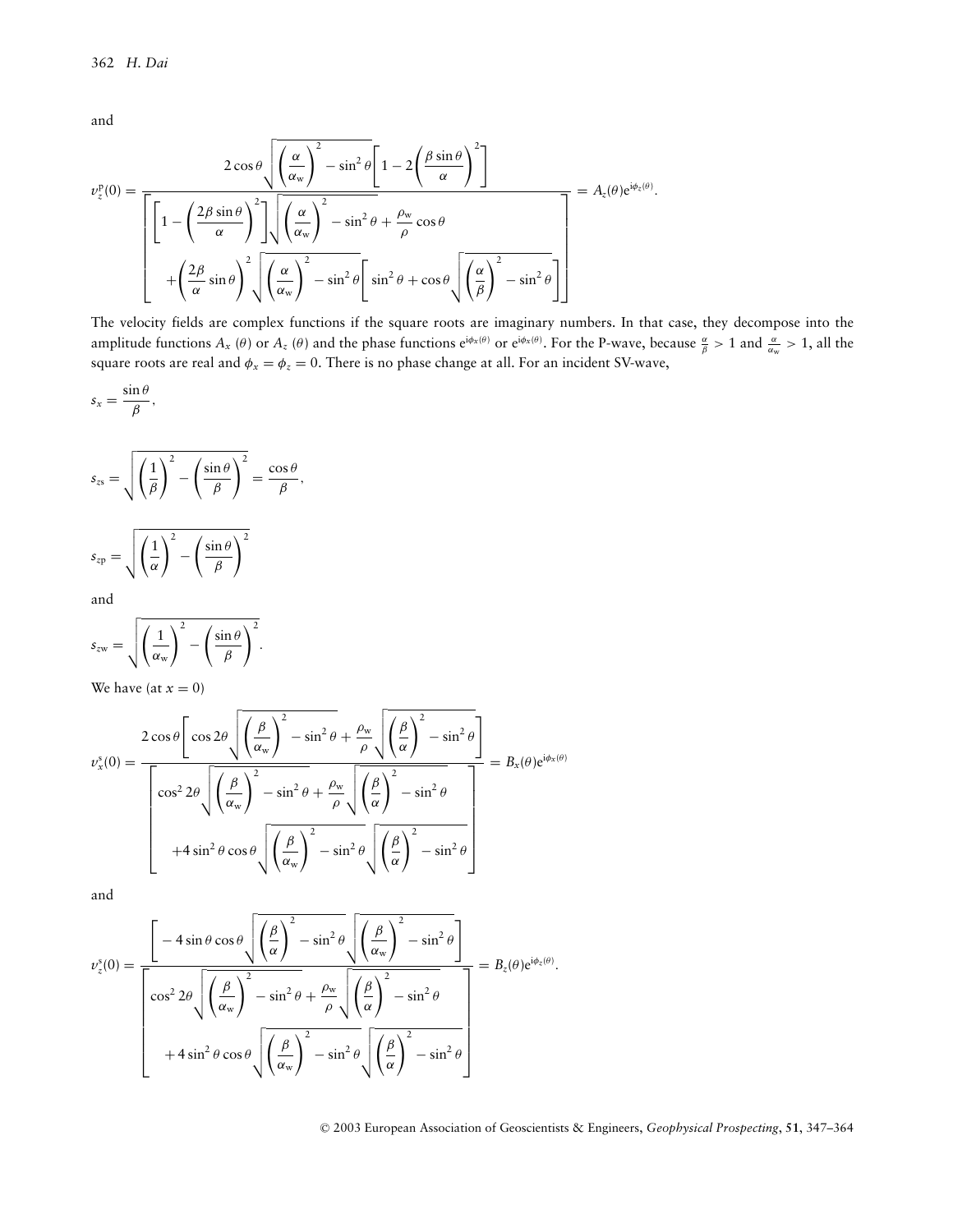and

$$
\nu_z^{\text{p}}(0) = \frac{2 \cos \theta \sqrt{\left(\frac{\alpha}{\alpha_w}\right)^2 - \sin^2 \theta} \left[1 - 2\left(\frac{\beta \sin \theta}{\alpha}\right)^2\right]}{\left[\left[1 - \left(\frac{2\beta \sin \theta}{\alpha}\right)^2\right] \sqrt{\left(\frac{\alpha}{\alpha_w}\right)^2 - \sin^2 \theta} + \frac{\rho_w}{\rho} \cos \theta}\right]} = A_z(\theta) e^{i\phi_z(\theta)}.
$$

$$
+ \left(\frac{2\beta}{\alpha} \sin \theta\right)^2 \sqrt{\left(\frac{\alpha}{\alpha_w}\right)^2 - \sin^2 \theta} \left[\sin^2 \theta + \cos \theta \sqrt{\left(\frac{\alpha}{\beta}\right)^2 - \sin^2 \theta}\right]}
$$

The velocity fields are complex functions if the square roots are imaginary numbers. In that case, they decompose into the amplitude functions  $A_x(\theta)$  or  $A_z(\theta)$  and the phase functions  $e^{i\phi_x(\theta)}$  or  $e^{i\phi_x(\theta)}$ . For the P-wave, because  $\frac{\alpha}{\beta} > 1$  and  $\frac{\alpha}{\alpha_w} > 1$ , all the square roots are real and  $\phi_x = \phi_z = 0$ . There is no phase change at all. For an incident SV-wave,

$$
s_x = \frac{\sin \theta}{\beta},
$$

$$
s_{zs} = \sqrt{\left(\frac{1}{\beta}\right)^2 - \left(\frac{\sin \theta}{\beta}\right)^2} = \frac{\cos \theta}{\beta},
$$

$$
s_{zp} = \sqrt{\left(\frac{1}{\alpha}\right)^2 - \left(\frac{\sin \theta}{\beta}\right)^2}
$$

and

$$
s_{zw} = \sqrt{\left(\frac{1}{\alpha_w}\right)^2 - \left(\frac{\sin \theta}{\beta}\right)^2}.
$$

We have (at  $x = 0$ )

$$
v_x^s(0) = \frac{2 \cos \theta \left[ \cos 2\theta \sqrt{\left(\frac{\beta}{\alpha_w}\right)^2 - \sin^2 \theta} + \frac{\rho_w}{\rho} \sqrt{\left(\frac{\beta}{\alpha}\right)^2 - \sin^2 \theta} \right]}{\left[ \cos^2 2\theta \sqrt{\left(\frac{\beta}{\alpha_w}\right)^2 - \sin^2 \theta} + \frac{\rho_w}{\rho} \sqrt{\left(\frac{\beta}{\alpha}\right)^2 - \sin^2 \theta}} \right]} = B_x(\theta) e^{i\phi_x(\theta)}
$$

$$
+ 4 \sin^2 \theta \cos \theta \sqrt{\left(\frac{\beta}{\alpha_w}\right)^2 - \sin^2 \theta} \sqrt{\left(\frac{\beta}{\alpha}\right)^2 - \sin^2 \theta}
$$

and

$$
v_z^s(0) = \frac{\left[-4 \sin \theta \cos \theta \sqrt{\left(\frac{\beta}{\alpha}\right)^2 - \sin^2 \theta} \sqrt{\left(\frac{\beta}{\alpha_w}\right)^2 - \sin^2 \theta}\right]}{\left[\cos^2 2\theta \sqrt{\left(\frac{\beta}{\alpha_w}\right)^2 - \sin^2 \theta} + \frac{\rho_w}{\rho} \sqrt{\left(\frac{\beta}{\alpha}\right)^2 - \sin^2 \theta}}\right]} = B_z(\theta) e^{i\phi_z(\theta)}.
$$

$$
+ 4 \sin^2 \theta \cos \theta \sqrt{\left(\frac{\beta}{\alpha_w}\right)^2 - \sin^2 \theta} \sqrt{\left(\frac{\beta}{\alpha}\right)^2 - \sin^2 \theta}
$$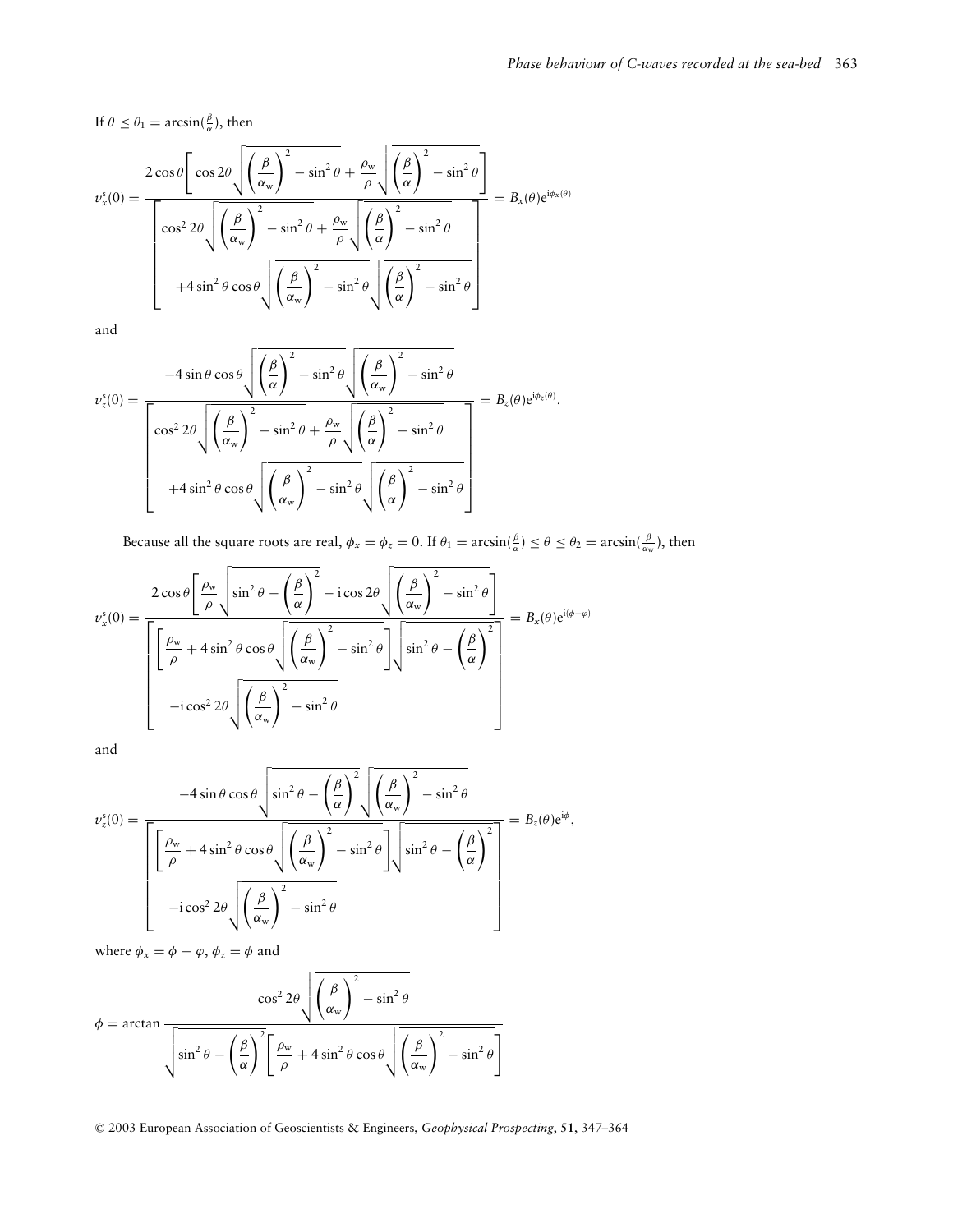If  $\theta \leq \theta_1 = \arcsin(\frac{\beta}{\alpha})$ , then

$$
v_x^s(0) = \frac{2\cos\theta \left[\cos 2\theta \sqrt{\left(\frac{\beta}{\alpha_w}\right)^2 - \sin^2\theta} + \frac{\rho_w}{\rho} \sqrt{\left(\frac{\beta}{\alpha}\right)^2 - \sin^2\theta}\right]}{\left[\cos^2 2\theta \sqrt{\left(\frac{\beta}{\alpha_w}\right)^2 - \sin^2\theta} + \frac{\rho_w}{\rho} \sqrt{\left(\frac{\beta}{\alpha}\right)^2 - \sin^2\theta}}\right]} = B_x(\theta)e^{i\phi_x(\theta)}
$$

$$
+4\sin^2\theta\cos\theta \sqrt{\left(\frac{\beta}{\alpha_w}\right)^2 - \sin^2\theta} \sqrt{\left(\frac{\beta}{\alpha}\right)^2 - \sin^2\theta}
$$

and

$$
\nu_z^s(0) = \frac{-4 \sin \theta \cos \theta \sqrt{\left(\frac{\beta}{\alpha}\right)^2 - \sin^2 \theta} \sqrt{\left(\frac{\beta}{\alpha_w}\right)^2 - \sin^2 \theta}}{\left[\cos^2 2\theta \sqrt{\left(\frac{\beta}{\alpha_w}\right)^2 - \sin^2 \theta + \frac{\rho_w}{\rho} \sqrt{\left(\frac{\beta}{\alpha}\right)^2 - \sin^2 \theta}}\right]} = B_z(\theta) e^{i\phi_z(\theta)}.
$$
  
+4 sin<sup>2</sup>  $\theta \cos \theta \sqrt{\left(\frac{\beta}{\alpha_w}\right)^2 - \sin^2 \theta} \sqrt{\left(\frac{\beta}{\alpha}\right)^2 - \sin^2 \theta}$ 

Because all the square roots are real,  $\phi_x = \phi_z = 0$ . If  $\theta_1 = \arcsin(\frac{\beta}{\alpha}) \le \theta \le \theta_2 = \arcsin(\frac{\beta}{\alpha_w})$ , then

$$
v_x^s(0) = \frac{2 \cos \theta \left[ \frac{\rho_w}{\rho} \sqrt{\sin^2 \theta - \left(\frac{\beta}{\alpha}\right)^2} - i \cos 2\theta \sqrt{\left(\frac{\beta}{\alpha_w}\right)^2 - \sin^2 \theta} \right]}{\left[ \left[ \frac{\rho_w}{\rho} + 4 \sin^2 \theta \cos \theta \sqrt{\left(\frac{\beta}{\alpha_w}\right)^2} - \sin^2 \theta \right] \sqrt{\sin^2 \theta - \left(\frac{\beta}{\alpha}\right)^2}} \right]} = B_x(\theta) e^{i(\phi - \varphi)}
$$

$$
-i \cos^2 2\theta \sqrt{\left(\frac{\beta}{\alpha_w}\right)^2 - \sin^2 \theta}
$$

and

$$
v_z^s(0) = \frac{-4 \sin \theta \cos \theta \sqrt{\sin^2 \theta - \left(\frac{\beta}{\alpha}\right)^2} \sqrt{\left(\frac{\beta}{\alpha_w}\right)^2 - \sin^2 \theta}}{\left[\frac{\rho_w}{\rho} + 4 \sin^2 \theta \cos \theta \sqrt{\left(\frac{\beta}{\alpha_w}\right)^2 - \sin^2 \theta}}\right] \sqrt{\sin^2 \theta - \left(\frac{\beta}{\alpha}\right)^2}} = B_z(\theta) e^{i\phi},
$$
  
-i cos<sup>2</sup> 2 $\theta \sqrt{\left(\frac{\beta}{\alpha_w}\right)^2 - \sin^2 \theta}$ 

where  $\phi_x = \phi - \varphi$ ,  $\phi_z = \phi$  and

$$
\phi = \arctan \frac{\cos^2 2\theta \sqrt{\left(\frac{\beta}{\alpha_w}\right)^2 - \sin^2 \theta}}{\sqrt{\sin^2 \theta - \left(\frac{\beta}{\alpha}\right)^2 \left[\frac{\rho_w}{\rho} + 4\sin^2 \theta \cos \theta \sqrt{\left(\frac{\beta}{\alpha_w}\right)^2 - \sin^2 \theta}\right]}}
$$